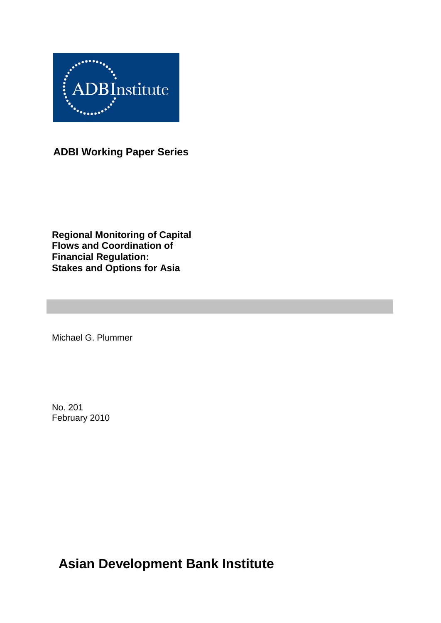

**ADBI Working Paper Series**

**Regional Monitoring of Capital Flows and Coordination of Financial Regulation: Stakes and Options for Asia**

Michael G. Plummer

No. 201 February 2010

**Asian Development Bank Institute**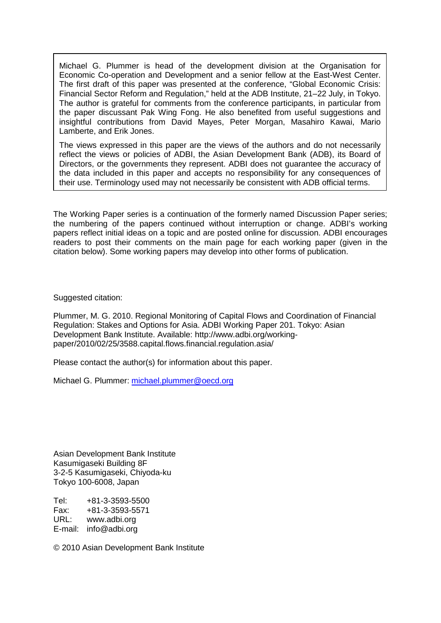Michael G. Plummer is head of the development division at the Organisation for Economic Co-operation and Development and a senior fellow at the East-West Center. The first draft of this paper was presented at the conference, "Global Economic Crisis: Financial Sector Reform and Regulation," held at the ADB Institute, 21–22 July, in Tokyo. The author is grateful for comments from the conference participants, in particular from the paper discussant Pak Wing Fong. He also benefited from useful suggestions and insightful contributions from David Mayes, Peter Morgan, Masahiro Kawai, Mario Lamberte, and Erik Jones.

The views expressed in this paper are the views of the authors and do not necessarily reflect the views or policies of ADBI, the Asian Development Bank (ADB), its Board of Directors, or the governments they represent. ADBI does not guarantee the accuracy of the data included in this paper and accepts no responsibility for any consequences of their use. Terminology used may not necessarily be consistent with ADB official terms.

The Working Paper series is a continuation of the formerly named Discussion Paper series; the numbering of the papers continued without interruption or change. ADBI's working papers reflect initial ideas on a topic and are posted online for discussion. ADBI encourages readers to post their comments on the main page for each working paper (given in the citation below). Some working papers may develop into other forms of publication.

Suggested citation:

Plummer, M. G. 2010. Regional Monitoring of Capital Flows and Coordination of Financial Regulation: Stakes and Options for Asia. ADBI Working Paper 201. Tokyo: Asian Development Bank Institute. Available: http://www.adbi.org/workingpaper/2010/02/25/3588.capital.flows.financial.regulation.asia/

Please contact the author(s) for information about this paper.

Michael G. Plummer: [michael.plummer@oecd.org](mailto:michael.plummer@oecd.org)

Asian Development Bank Institute Kasumigaseki Building 8F 3-2-5 Kasumigaseki, Chiyoda-ku Tokyo 100-6008, Japan

Tel: +81-3-3593-5500 Fax: +81-3-3593-5571 www.adbi.org E-mail: info@adbi.org

© 2010 Asian Development Bank Institute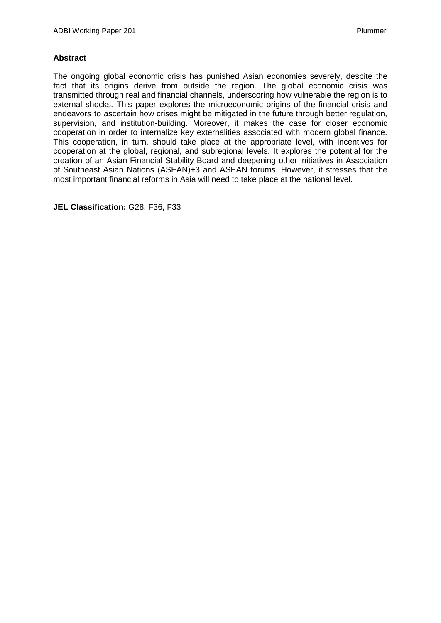#### **Abstract**

The ongoing global economic crisis has punished Asian economies severely, despite the fact that its origins derive from outside the region. The global economic crisis was transmitted through real and financial channels, underscoring how vulnerable the region is to external shocks. This paper explores the microeconomic origins of the financial crisis and endeavors to ascertain how crises might be mitigated in the future through better regulation, supervision, and institution-building. Moreover, it makes the case for closer economic cooperation in order to internalize key externalities associated with modern global finance. This cooperation, in turn, should take place at the appropriate level, with incentives for cooperation at the global, regional, and subregional levels. It explores the potential for the creation of an Asian Financial Stability Board and deepening other initiatives in Association of Southeast Asian Nations (ASEAN)+3 and ASEAN forums. However, it stresses that the most important financial reforms in Asia will need to take place at the national level.

**JEL Classification:** G28, F36, F33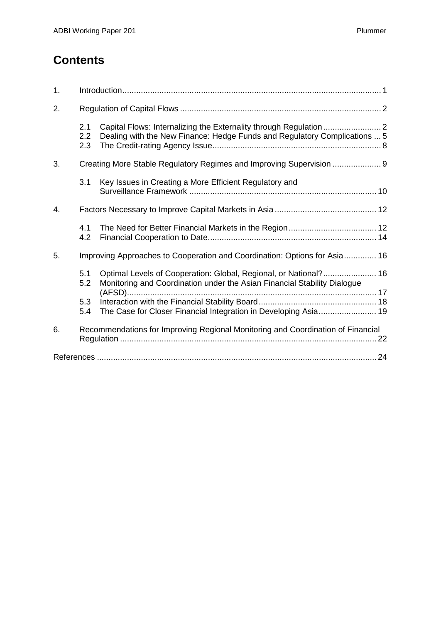# **Contents**

| 1. |                                                                                 |                                                                                                                                                                                                                 |  |  |  |  |
|----|---------------------------------------------------------------------------------|-----------------------------------------------------------------------------------------------------------------------------------------------------------------------------------------------------------------|--|--|--|--|
| 2. |                                                                                 |                                                                                                                                                                                                                 |  |  |  |  |
|    | 2.1<br>2.2<br>2.3                                                               | Dealing with the New Finance: Hedge Funds and Regulatory Complications  5                                                                                                                                       |  |  |  |  |
| 3. | Creating More Stable Regulatory Regimes and Improving Supervision  9            |                                                                                                                                                                                                                 |  |  |  |  |
|    | 3.1                                                                             | Key Issues in Creating a More Efficient Regulatory and                                                                                                                                                          |  |  |  |  |
| 4. |                                                                                 |                                                                                                                                                                                                                 |  |  |  |  |
|    | 4.1<br>4.2                                                                      |                                                                                                                                                                                                                 |  |  |  |  |
| 5. |                                                                                 | Improving Approaches to Cooperation and Coordination: Options for Asia 16                                                                                                                                       |  |  |  |  |
|    | 5.1<br>5.2<br>5.3<br>5.4                                                        | Optimal Levels of Cooperation: Global, Regional, or National? 16<br>Monitoring and Coordination under the Asian Financial Stability Dialogue<br>The Case for Closer Financial Integration in Developing Asia 19 |  |  |  |  |
| 6. | Recommendations for Improving Regional Monitoring and Coordination of Financial |                                                                                                                                                                                                                 |  |  |  |  |
|    |                                                                                 |                                                                                                                                                                                                                 |  |  |  |  |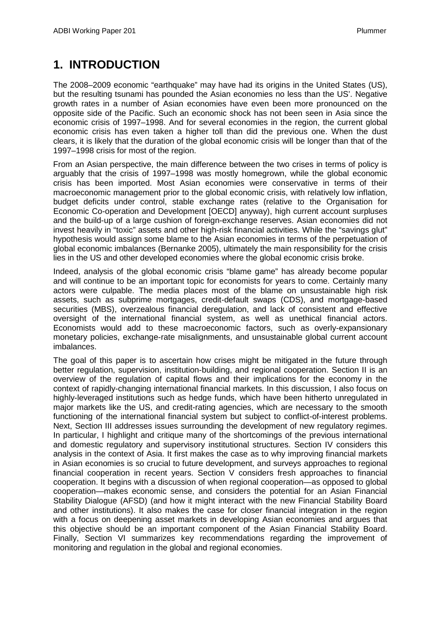# <span id="page-4-0"></span>**1. INTRODUCTION**

The 2008–2009 economic "earthquake" may have had its origins in the United States (US), but the resulting tsunami has pounded the Asian economies no less than the US'. Negative growth rates in a number of Asian economies have even been more pronounced on the opposite side of the Pacific. Such an economic shock has not been seen in Asia since the economic crisis of 1997–1998. And for several economies in the region, the current global economic crisis has even taken a higher toll than did the previous one. When the dust clears, it is likely that the duration of the global economic crisis will be longer than that of the 1997–1998 crisis for most of the region.

From an Asian perspective, the main difference between the two crises in terms of policy is arguably that the crisis of 1997–1998 was mostly homegrown, while the global economic crisis has been imported. Most Asian economies were conservative in terms of their macroeconomic management prior to the global economic crisis, with relatively low inflation, budget deficits under control, stable exchange rates (relative to the Organisation for Economic Co-operation and Development [OECD] anyway), high current account surpluses and the build-up of a large cushion of foreign-exchange reserves. Asian economies did not invest heavily in "toxic" assets and other high-risk financial activities. While the "savings glut" hypothesis would assign some blame to the Asian economies in terms of the perpetuation of global economic imbalances (Bernanke 2005), ultimately the main responsibility for the crisis lies in the US and other developed economies where the global economic crisis broke.

Indeed, analysis of the global economic crisis "blame game" has already become popular and will continue to be an important topic for economists for years to come. Certainly many actors were culpable. The media places most of the blame on unsustainable high risk assets, such as subprime mortgages, credit-default swaps (CDS), and mortgage-based securities (MBS), overzealous financial deregulation, and lack of consistent and effective oversight of the international financial system, as well as unethical financial actors. Economists would add to these macroeconomic factors, such as overly-expansionary monetary policies, exchange-rate misalignments, and unsustainable global current account imbalances.

The goal of this paper is to ascertain how crises might be mitigated in the future through better regulation, supervision, institution-building, and regional cooperation. Section II is an overview of the regulation of capital flows and their implications for the economy in the context of rapidly-changing international financial markets. In this discussion, I also focus on highly-leveraged institutions such as hedge funds, which have been hitherto unregulated in major markets like the US, and credit-rating agencies, which are necessary to the smooth functioning of the international financial system but subject to conflict-of-interest problems. Next, Section III addresses issues surrounding the development of new regulatory regimes. In particular, I highlight and critique many of the shortcomings of the previous international and domestic regulatory and supervisory institutional structures. Section IV considers this analysis in the context of Asia. It first makes the case as to why improving financial markets in Asian economies is so crucial to future development, and surveys approaches to regional financial cooperation in recent years. Section V considers fresh approaches to financial cooperation. It begins with a discussion of when regional cooperation—as opposed to global cooperation—makes economic sense, and considers the potential for an Asian Financial Stability Dialogue (AFSD) (and how it might interact with the new Financial Stability Board and other institutions). It also makes the case for closer financial integration in the region with a focus on deepening asset markets in developing Asian economies and argues that this objective should be an important component of the Asian Financial Stability Board. Finally, Section VI summarizes key recommendations regarding the improvement of monitoring and regulation in the global and regional economies.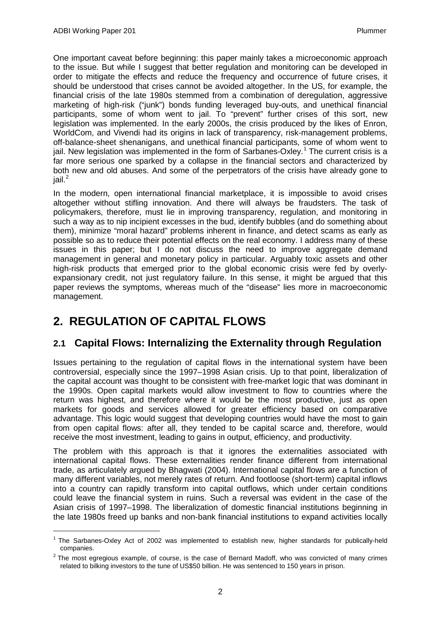One important caveat before beginning: this paper mainly takes a microeconomic approach to the issue. But while I suggest that better regulation and monitoring can be developed in order to mitigate the effects and reduce the frequency and occurrence of future crises, it should be understood that crises cannot be avoided altogether. In the US, for example, the financial crisis of the late 1980s stemmed from a combination of deregulation, aggressive marketing of high-risk ("junk") bonds funding leveraged buy-outs, and unethical financial participants, some of whom went to jail. To "prevent" further crises of this sort, new legislation was implemented. In the early 2000s, the crisis produced by the likes of Enron, WorldCom, and Vivendi had its origins in lack of transparency, risk-management problems, off-balance-sheet shenanigans, and unethical financial participants, some of whom went to jail. New legislation was implemented in the form of Sarbanes-Oxley.<sup>[1](#page-5-2)</sup> The current crisis is a far more serious one sparked by a collapse in the financial sectors and characterized by both new and old abuses. And some of the perpetrators of the crisis have already gone to  $i$ ail.<sup>[2](#page-5-3)</sup>

In the modern, open international financial marketplace, it is impossible to avoid crises altogether without stifling innovation. And there will always be fraudsters. The task of policymakers, therefore, must lie in improving transparency, regulation, and monitoring in such a way as to nip incipient excesses in the bud, identify bubbles (and do something about them), minimize "moral hazard" problems inherent in finance, and detect scams as early as possible so as to reduce their potential effects on the real economy. I address many of these issues in this paper; but I do not discuss the need to improve aggregate demand management in general and monetary policy in particular. Arguably toxic assets and other high-risk products that emerged prior to the global economic crisis were fed by overlyexpansionary credit, not just regulatory failure. In this sense, it might be argued that this paper reviews the symptoms, whereas much of the "disease" lies more in macroeconomic management.

## <span id="page-5-0"></span>**2. REGULATION OF CAPITAL FLOWS**

#### <span id="page-5-1"></span>**2.1 Capital Flows: Internalizing the Externality through Regulation**

Issues pertaining to the regulation of capital flows in the international system have been controversial, especially since the 1997–1998 Asian crisis. Up to that point, liberalization of the capital account was thought to be consistent with free-market logic that was dominant in the 1990s. Open capital markets would allow investment to flow to countries where the return was highest, and therefore where it would be the most productive, just as open markets for goods and services allowed for greater efficiency based on comparative advantage. This logic would suggest that developing countries would have the most to gain from open capital flows: after all, they tended to be capital scarce and, therefore, would receive the most investment, leading to gains in output, efficiency, and productivity.

The problem with this approach is that it ignores the externalities associated with international capital flows. These externalities render finance different from international trade, as articulately argued by Bhagwati (2004). International capital flows are a function of many different variables, not merely rates of return. And footloose (short-term) capital inflows into a country can rapidly transform into capital outflows, which under certain conditions could leave the financial system in ruins. Such a reversal was evident in the case of the Asian crisis of 1997–1998. The liberalization of domestic financial institutions beginning in the late 1980s freed up banks and non-bank financial institutions to expand activities locally

<span id="page-5-2"></span><sup>&</sup>lt;sup>1</sup> The Sarbanes-Oxley Act of 2002 was implemented to establish new, higher standards for publically-held companies.

<span id="page-5-3"></span> $2$  The most egregious example, of course, is the case of Bernard Madoff, who was convicted of many crimes related to bilking investors to the tune of US\$50 billion. He was sentenced to 150 years in prison.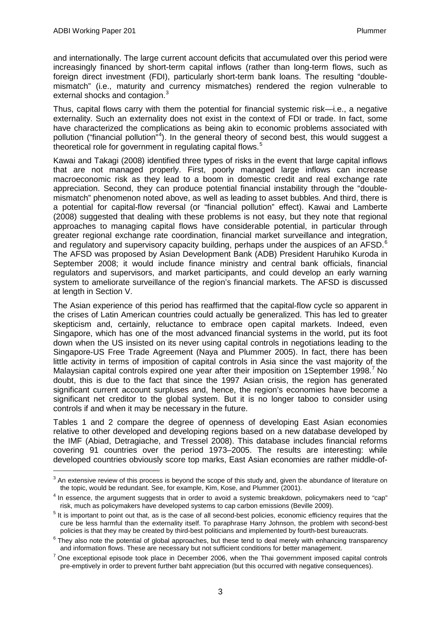and internationally. The large current account deficits that accumulated over this period were increasingly financed by short-term capital inflows (rather than long-term flows, such as foreign direct investment (FDI), particularly short-term bank loans. The resulting "doublemismatch" (i.e., maturity and currency mismatches) rendered the region vulnerable to external shocks and contagion.<sup>[3](#page-6-0)</sup>

Thus, capital flows carry with them the potential for financial systemic risk—i.e., a negative externality. Such an externality does not exist in the context of FDI or trade. In fact, some have characterized the complications as being akin to economic problems associated with pollution ("financial pollution"<sup>[4](#page-6-1)</sup>). In the general theory of second best, this would suggest a theoretical role for government in regulating capital flows.<sup>[5](#page-6-2)</sup>

Kawai and Takagi (2008) identified three types of risks in the event that large capital inflows that are not managed properly. First, poorly managed large inflows can increase macroeconomic risk as they lead to a boom in domestic credit and real exchange rate appreciation. Second, they can produce potential financial instability through the "doublemismatch" phenomenon noted above, as well as leading to asset bubbles. And third, there is a potential for capital-flow reversal (or "financial pollution" effect). Kawai and Lamberte (2008) suggested that dealing with these problems is not easy, but they note that regional approaches to managing capital flows have considerable potential, in particular through greater regional exchange rate coordination, financial market surveillance and integration, and regulatory and supervisory capacity building, perhaps under the auspices of an AFSD.<sup>[6](#page-6-3)</sup> The AFSD was proposed by Asian Development Bank (ADB) President Haruhiko Kuroda in September 2008; it would include finance ministry and central bank officials, financial regulators and supervisors, and market participants, and could develop an early warning system to ameliorate surveillance of the region's financial markets. The AFSD is discussed at length in Section V.

The Asian experience of this period has reaffirmed that the capital-flow cycle so apparent in the crises of Latin American countries could actually be generalized. This has led to greater skepticism and, certainly, reluctance to embrace open capital markets. Indeed, even Singapore, which has one of the most advanced financial systems in the world, put its foot down when the US insisted on its never using capital controls in negotiations leading to the Singapore-US Free Trade Agreement (Naya and Plummer 2005). In fact, there has been little activity in terms of imposition of capital controls in Asia since the vast majority of the Malaysian capital controls expired one year after their imposition on 1September 1998.<sup>[7](#page-6-4)</sup> No doubt, this is due to the fact that since the 1997 Asian crisis, the region has generated significant current account surpluses and, hence, the region's economies have become a significant net creditor to the global system. But it is no longer taboo to consider using controls if and when it may be necessary in the future.

Tables 1 and 2 compare the degree of openness of developing East Asian economies relative to other developed and developing regions based on a new database developed by the IMF (Abiad, Detragiache, and Tressel 2008). This database includes financial reforms covering 91 countries over the period 1973–2005. The results are interesting: while developed countries obviously score top marks, East Asian economies are rather middle-of-

<span id="page-6-0"></span> $3$  An extensive review of this process is beyond the scope of this study and, given the abundance of literature on the topic, would be redundant. See, for example, Kim, Kose, and Plummer (2001).

<span id="page-6-1"></span><sup>&</sup>lt;sup>4</sup> In essence, the argument suggests that in order to avoid a systemic breakdown, policymakers need to "cap" risk, much as policymakers have developed systems to cap carbon emissions (Beville 2009).

<span id="page-6-2"></span> $5$  It is important to point out that, as is the case of all second-best policies, economic efficiency requires that the cure be less harmful than the externality itself. To paraphrase Harry Johnson, the problem with second-best policies is that they may be created by third-best politicians and implemented by fourth-best bureaucrats.

<span id="page-6-3"></span> $6$  They also note the potential of global approaches, but these tend to deal merely with enhancing transparency and information flows. These are necessary but not sufficient conditions for better management.

<span id="page-6-4"></span> $7$  One exceptional episode took place in December 2006, when the Thai government imposed capital controls pre-emptively in order to prevent further baht appreciation (but this occurred with negative consequences).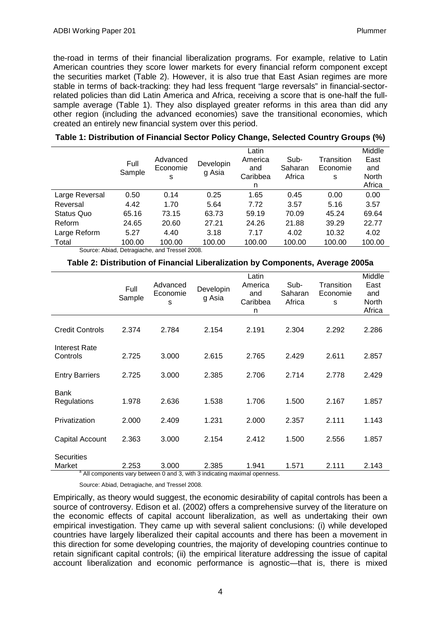the-road in terms of their financial liberalization programs. For example, relative to Latin American countries they score lower markets for every financial reform component except the securities market (Table 2). However, it is also true that East Asian regimes are more stable in terms of back-tracking: they had less frequent "large reversals" in financial-sectorrelated policies than did Latin America and Africa, receiving a score that is one-half the fullsample average (Table 1). They also displayed greater reforms in this area than did any other region (including the advanced economies) save the transitional economies, which created an entirely new financial system over this period.

|                | Full<br>Sample | Advanced<br>Economie<br>s | Developin<br>g Asia | Latin<br>America<br>and<br>Caribbea<br>n | Sub-<br>Saharan<br>Africa | Transition<br>Economie<br>s | Middle<br>East<br>and<br>North<br>Africa |
|----------------|----------------|---------------------------|---------------------|------------------------------------------|---------------------------|-----------------------------|------------------------------------------|
| Large Reversal | 0.50           | 0.14                      | 0.25                | 1.65                                     | 0.45                      | 0.00                        | 0.00                                     |
| Reversal       | 4.42           | 1.70                      | 5.64                | 7.72                                     | 3.57                      | 5.16                        | 3.57                                     |
| Status Quo     | 65.16          | 73.15                     | 63.73               | 59.19                                    | 70.09                     | 45.24                       | 69.64                                    |
| Reform         | 24.65          | 20.60                     | 27.21               | 24.26                                    | 21.88                     | 39.29                       | 22.77                                    |
| Large Reform   | 5.27           | 4.40                      | 3.18                | 7.17                                     | 4.02                      | 10.32                       | 4.02                                     |
| Total          | 100.00         | 100.00                    | 100.00              | 100.00                                   | 100.00                    | 100.00                      | 100.00                                   |

**Table 1: Distribution of Financial Sector Policy Change, Selected Country Groups (%)**

Source: Abiad, Detragiache, and Tressel 2008.

| Table 2: Distribution of Financial Liberalization by Components, Average 2005a |  |
|--------------------------------------------------------------------------------|--|
|--------------------------------------------------------------------------------|--|

|                                              | Full<br>Sample         | Advanced<br>Economie<br>s | Developin<br>g Asia                         | Latin<br>America<br>and<br>Caribbea<br>n | Sub-<br>Saharan<br>Africa | Transition<br>Economie<br>S | Middle<br>East<br>and<br>North<br>Africa |
|----------------------------------------------|------------------------|---------------------------|---------------------------------------------|------------------------------------------|---------------------------|-----------------------------|------------------------------------------|
| <b>Credit Controls</b>                       | 2.374                  | 2.784                     | 2.154                                       | 2.191                                    | 2.304                     | 2.292                       | 2.286                                    |
| Interest Rate<br>Controls                    | 2.725                  | 3.000                     | 2.615                                       | 2.765                                    | 2.429                     | 2.611                       | 2.857                                    |
| <b>Entry Barriers</b>                        | 2.725                  | 3.000                     | 2.385                                       | 2.706                                    | 2.714                     | 2.778                       | 2.429                                    |
| <b>Bank</b><br>Regulations                   | 1.978                  | 2.636                     | 1.538                                       | 1.706                                    | 1.500                     | 2.167                       | 1.857                                    |
| Privatization                                | 2.000                  | 2.409                     | 1.231                                       | 2.000                                    | 2.357                     | 2.111                       | 1.143                                    |
| Capital Account                              | 2.363                  | 3.000                     | 2.154                                       | 2.412                                    | 1.500                     | 2.556                       | 1.857                                    |
| <b>Securities</b><br>Market<br>$3.11 - 2.22$ | 2.253<br>ومقصصا ومعصوم | 3.000                     | 2.385<br>A would contain A for dispersional | 1.941<br>لمرجا المرجمان                  | 1.571                     | 2.111                       | 2.143                                    |

All components vary between 0 and 3, with 3 indicating maximal openness.

Source: Abiad, Detragiache, and Tressel 2008.

Empirically, as theory would suggest, the economic desirability of capital controls has been a source of controversy. Edison et al. (2002) offers a comprehensive survey of the literature on the economic effects of capital account liberalization, as well as undertaking their own empirical investigation. They came up with several salient conclusions: (i) while developed countries have largely liberalized their capital accounts and there has been a movement in this direction for some developing countries, the majority of developing countries continue to retain significant capital controls; (ii) the empirical literature addressing the issue of capital account liberalization and economic performance is agnostic—that is, there is mixed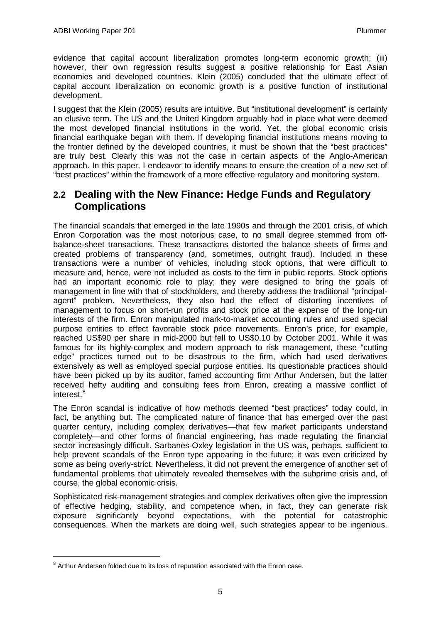evidence that capital account liberalization promotes long-term economic growth; (iii) however, their own regression results suggest a positive relationship for East Asian economies and developed countries. Klein (2005) concluded that the ultimate effect of capital account liberalization on economic growth is a positive function of institutional development.

I suggest that the Klein (2005) results are intuitive. But "institutional development" is certainly an elusive term. The US and the United Kingdom arguably had in place what were deemed the most developed financial institutions in the world. Yet, the global economic crisis financial earthquake began with them. If developing financial institutions means moving to the frontier defined by the developed countries, it must be shown that the "best practices" are truly best. Clearly this was not the case in certain aspects of the Anglo-American approach. In this paper, I endeavor to identify means to ensure the creation of a new set of "best practices" within the framework of a more effective regulatory and monitoring system.

#### <span id="page-8-0"></span>**2.2 Dealing with the New Finance: Hedge Funds and Regulatory Complications**

The financial scandals that emerged in the late 1990s and through the 2001 crisis, of which Enron Corporation was the most notorious case, to no small degree stemmed from offbalance-sheet transactions. These transactions distorted the balance sheets of firms and created problems of transparency (and, sometimes, outright fraud). Included in these transactions were a number of vehicles, including stock options, that were difficult to measure and, hence, were not included as costs to the firm in public reports. Stock options had an important economic role to play; they were designed to bring the goals of management in line with that of stockholders, and thereby address the traditional "principalagent" problem. Nevertheless, they also had the effect of distorting incentives of management to focus on short-run profits and stock price at the expense of the long-run interests of the firm. Enron manipulated mark-to-market accounting rules and used special purpose entities to effect favorable stock price movements. Enron's price, for example, reached US\$90 per share in mid-2000 but fell to US\$0.10 by October 2001. While it was famous for its highly-complex and modern approach to risk management, these "cutting edge" practices turned out to be disastrous to the firm, which had used derivatives extensively as well as employed special purpose entities. Its questionable practices should have been picked up by its auditor, famed accounting firm Arthur Andersen, but the latter received hefty auditing and consulting fees from Enron, creating a massive conflict of interest.<sup>[8](#page-8-1)</sup>

The Enron scandal is indicative of how methods deemed "best practices" today could, in fact, be anything but. The complicated nature of finance that has emerged over the past quarter century, including complex derivatives—that few market participants understand completely—and other forms of financial engineering, has made regulating the financial sector increasingly difficult. Sarbanes-Oxley legislation in the US was, perhaps, sufficient to help prevent scandals of the Enron type appearing in the future; it was even criticized by some as being overly-strict. Nevertheless, it did not prevent the emergence of another set of fundamental problems that ultimately revealed themselves with the subprime crisis and, of course, the global economic crisis.

Sophisticated risk-management strategies and complex derivatives often give the impression of effective hedging, stability, and competence when, in fact, they can generate risk exposure significantly beyond expectations, with the potential for catastrophic consequences. When the markets are doing well, such strategies appear to be ingenious.

<span id="page-8-1"></span><sup>&</sup>lt;sup>8</sup> Arthur Andersen folded due to its loss of reputation associated with the Enron case.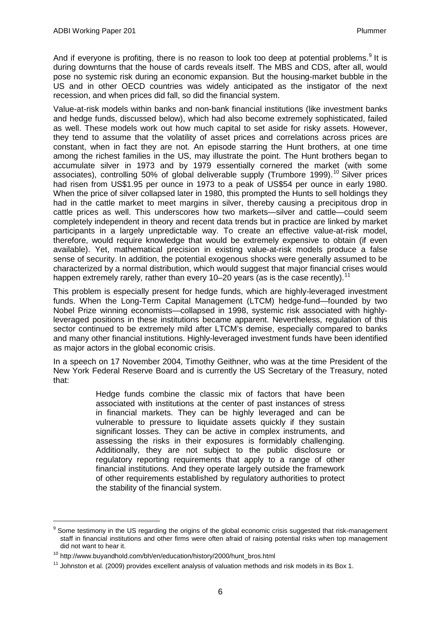And if everyone is profiting, there is no reason to look too deep at potential problems.<sup>[9](#page-9-0)</sup> It is during downturns that the house of cards reveals itself. The MBS and CDS, after all, would pose no systemic risk during an economic expansion. But the housing-market bubble in the US and in other OECD countries was widely anticipated as the instigator of the next recession, and when prices did fall, so did the financial system.

Value-at-risk models within banks and non-bank financial institutions (like investment banks and hedge funds, discussed below), which had also become extremely sophisticated, failed as well. These models work out how much capital to set aside for risky assets. However, they tend to assume that the volatility of asset prices and correlations across prices are constant, when in fact they are not. An episode starring the Hunt brothers, at one time among the richest families in the US, may illustrate the point. The Hunt brothers began to accumulate silver in 1973 and by 1979 essentially cornered the market (with some associates), controlling 50% of global deliverable supply (Trumbore 1999). [10](#page-9-1) Silver prices had risen from US\$1.95 per ounce in 1973 to a peak of US\$54 per ounce in early 1980. When the price of silver collapsed later in 1980, this prompted the Hunts to sell holdings they had in the cattle market to meet margins in silver, thereby causing a precipitous drop in cattle prices as well. This underscores how two markets—silver and cattle—could seem completely independent in theory and recent data trends but in practice are linked by market participants in a largely unpredictable way. To create an effective value-at-risk model, therefore, would require knowledge that would be extremely expensive to obtain (if even available). Yet, mathematical precision in existing value-at-risk models produce a false sense of security. In addition, the potential exogenous shocks were generally assumed to be characterized by a normal distribution, which would suggest that major financial crises would happen extremely rarely, rather than every 10–20 years (as is the case recently).<sup>[11](#page-9-2)</sup>

This problem is especially present for hedge funds, which are highly-leveraged investment funds. When the Long-Term Capital Management (LTCM) hedge-fund—founded by two Nobel Prize winning economists—collapsed in 1998, systemic risk associated with highlyleveraged positions in these institutions became apparent. Nevertheless, regulation of this sector continued to be extremely mild after LTCM's demise, especially compared to banks and many other financial institutions. Highly-leveraged investment funds have been identified as major actors in the global economic crisis.

In a speech on 17 November 2004, Timothy Geithner, who was at the time President of the New York Federal Reserve Board and is currently the US Secretary of the Treasury, noted that:

> Hedge funds combine the classic mix of factors that have been associated with institutions at the center of past instances of stress in financial markets. They can be highly leveraged and can be vulnerable to pressure to liquidate assets quickly if they sustain significant losses. They can be active in complex instruments, and assessing the risks in their exposures is formidably challenging. Additionally, they are not subject to the public disclosure or regulatory reporting requirements that apply to a range of other financial institutions. And they operate largely outside the framework of other requirements established by regulatory authorities to protect the stability of the financial system.

<span id="page-9-0"></span><sup>&</sup>lt;sup>9</sup> Some testimony in the US regarding the origins of the global economic crisis suggested that risk-management staff in financial institutions and other firms were often afraid of raising potential risks when top management did not want to hear it.

<span id="page-9-1"></span><sup>10</sup> http://www.buyandhold.com/bh/en/education/history/2000/hunt\_bros.html

<span id="page-9-2"></span> $11$  Johnston et al. (2009) provides excellent analysis of valuation methods and risk models in its Box 1.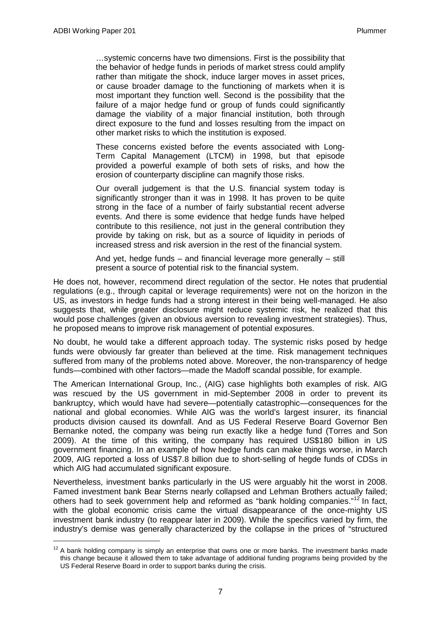…systemic concerns have two dimensions. First is the possibility that the behavior of hedge funds in periods of market stress could amplify rather than mitigate the shock, induce larger moves in asset prices, or cause broader damage to the functioning of markets when it is most important they function well. Second is the possibility that the failure of a major hedge fund or group of funds could significantly damage the viability of a major financial institution, both through direct exposure to the fund and losses resulting from the impact on other market risks to which the institution is exposed.

These concerns existed before the events associated with Long-Term Capital Management (LTCM) in 1998, but that episode provided a powerful example of both sets of risks, and how the erosion of counterparty discipline can magnify those risks.

Our overall judgement is that the U.S. financial system today is significantly stronger than it was in 1998. It has proven to be quite strong in the face of a number of fairly substantial recent adverse events. And there is some evidence that hedge funds have helped contribute to this resilience, not just in the general contribution they provide by taking on risk, but as a source of liquidity in periods of increased stress and risk aversion in the rest of the financial system.

And yet, hedge funds – and financial leverage more generally – still present a source of potential risk to the financial system.

He does not, however, recommend direct regulation of the sector. He notes that prudential regulations (e.g., through capital or leverage requirements) were not on the horizon in the US, as investors in hedge funds had a strong interest in their being well-managed. He also suggests that, while greater disclosure might reduce systemic risk, he realized that this would pose challenges (given an obvious aversion to revealing investment strategies). Thus, he proposed means to improve risk management of potential exposures.

No doubt, he would take a different approach today. The systemic risks posed by hedge funds were obviously far greater than believed at the time. Risk management techniques suffered from many of the problems noted above. Moreover, the non-transparency of hedge funds—combined with other factors—made the Madoff scandal possible, for example.

The American International Group, Inc., (AIG) case highlights both examples of risk. AIG was rescued by the US government in mid-September 2008 in order to prevent its bankruptcy, which would have had severe—potentially catastrophic—consequences for the national and global economies. While AIG was the world's largest insurer, its financial products division caused its downfall. And as US Federal Reserve Board Governor Ben Bernanke noted, the company was being run exactly like a hedge fund (Torres and Son 2009). At the time of this writing, the company has required US\$180 billion in US government financing. In an example of how hedge funds can make things worse, in March 2009, AIG reported a loss of US\$7.8 billion due to short-selling of hegde funds of CDSs in which AIG had accumulated significant exposure.

Nevertheless, investment banks particularly in the US were arguably hit the worst in 2008. Famed investment bank Bear Sterns nearly collapsed and Lehman Brothers actually failed; others had to seek government help and reformed as "bank holding companies."<sup>[12](#page-10-0)</sup> In fact, with the global economic crisis came the virtual disappearance of the once-mighty US investment bank industry (to reappear later in 2009). While the specifics varied by firm, the industry's demise was generally characterized by the collapse in the prices of "structured

<span id="page-10-0"></span> $12$  A bank holding company is simply an enterprise that owns one or more banks. The investment banks made this change because it allowed them to take advantage of additional funding programs being provided by the US Federal Reserve Board in order to support banks during the crisis.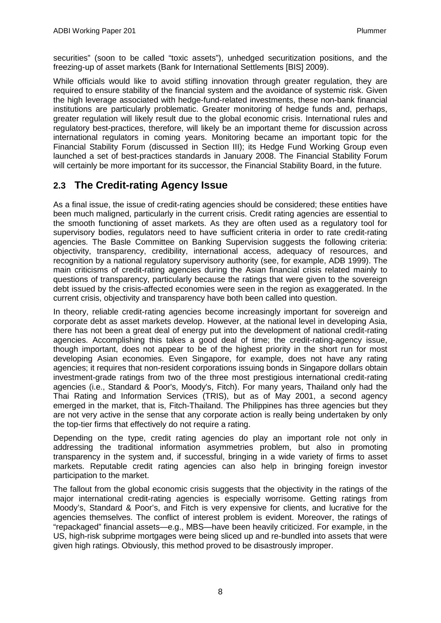securities" (soon to be called "toxic assets"), unhedged securitization positions, and the freezing-up of asset markets (Bank for International Settlements [BIS] 2009).

While officials would like to avoid stifling innovation through greater regulation, they are required to ensure stability of the financial system and the avoidance of systemic risk. Given the high leverage associated with hedge-fund-related investments, these non-bank financial institutions are particularly problematic. Greater monitoring of hedge funds and, perhaps, greater regulation will likely result due to the global economic crisis. International rules and regulatory best-practices, therefore, will likely be an important theme for discussion across international regulators in coming years. Monitoring became an important topic for the Financial Stability Forum (discussed in Section III); its Hedge Fund Working Group even launched a set of best-practices standards in January 2008. The Financial Stability Forum will certainly be more important for its successor, the Financial Stability Board, in the future.

#### <span id="page-11-0"></span>**2.3 The Credit-rating Agency Issue**

As a final issue, the issue of credit-rating agencies should be considered; these entities have been much maligned, particularly in the current crisis. Credit rating agencies are essential to the smooth functioning of asset markets. As they are often used as a regulatory tool for supervisory bodies, regulators need to have sufficient criteria in order to rate credit-rating agencies. The Basle Committee on Banking Supervision suggests the following criteria: objectivity, transparency, credibility, international access, adequacy of resources, and recognition by a national regulatory supervisory authority (see, for example, ADB 1999). The main criticisms of credit-rating agencies during the Asian financial crisis related mainly to questions of transparency, particularly because the ratings that were given to the sovereign debt issued by the crisis-affected economies were seen in the region as exaggerated. In the current crisis, objectivity and transparency have both been called into question.

In theory, reliable credit-rating agencies become increasingly important for sovereign and corporate debt as asset markets develop. However, at the national level in developing Asia, there has not been a great deal of energy put into the development of national credit-rating agencies. Accomplishing this takes a good deal of time; the credit-rating-agency issue, though important, does not appear to be of the highest priority in the short run for most developing Asian economies. Even Singapore, for example, does not have any rating agencies; it requires that non-resident corporations issuing bonds in Singapore dollars obtain investment-grade ratings from two of the three most prestigious international credit-rating agencies (i.e., Standard & Poor's, Moody's, Fitch). For many years, Thailand only had the Thai Rating and Information Services (TRIS), but as of May 2001, a second agency emerged in the market, that is, Fitch-Thailand. The Philippines has three agencies but they are not very active in the sense that any corporate action is really being undertaken by only the top-tier firms that effectively do not require a rating.

Depending on the type, credit rating agencies do play an important role not only in addressing the traditional information asymmetries problem, but also in promoting transparency in the system and, if successful, bringing in a wide variety of firms to asset markets. Reputable credit rating agencies can also help in bringing foreign investor participation to the market.

The fallout from the global economic crisis suggests that the objectivity in the ratings of the major international credit-rating agencies is especially worrisome. Getting ratings from Moody's, Standard & Poor's, and Fitch is very expensive for clients, and lucrative for the agencies themselves. The conflict of interest problem is evident. Moreover, the ratings of "repackaged" financial assets—e.g., MBS—have been heavily criticized. For example, in the US, high-risk subprime mortgages were being sliced up and re-bundled into assets that were given high ratings. Obviously, this method proved to be disastrously improper.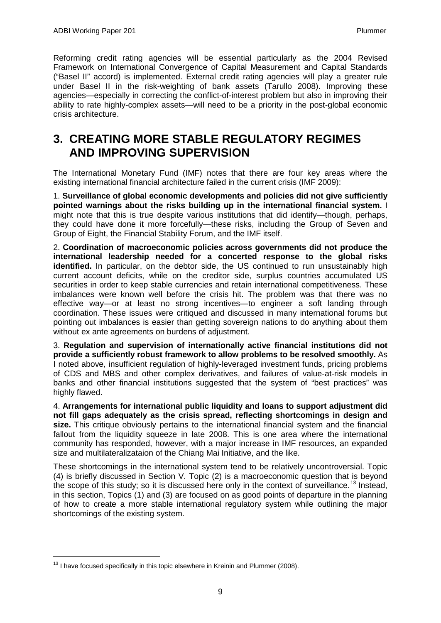Reforming credit rating agencies will be essential particularly as the 2004 Revised Framework on International Convergence of Capital Measurement and Capital Standards ("Basel II" accord) is implemented. External credit rating agencies will play a greater rule under Basel II in the risk-weighting of bank assets (Tarullo 2008). Improving these agencies—especially in correcting the conflict-of-interest problem but also in improving their ability to rate highly-complex assets—will need to be a priority in the post-global economic crisis architecture.

### <span id="page-12-0"></span>**3. CREATING MORE STABLE REGULATORY REGIMES AND IMPROVING SUPERVISION**

The International Monetary Fund (IMF) notes that there are four key areas where the existing international financial architecture failed in the current crisis (IMF 2009):

1. **Surveillance of global economic developments and policies did not give sufficiently pointed warnings about the risks building up in the international financial system.** I might note that this is true despite various institutions that did identify—though, perhaps, they could have done it more forcefully—these risks, including the Group of Seven and Group of Eight, the Financial Stability Forum, and the IMF itself.

2. **Coordination of macroeconomic policies across governments did not produce the international leadership needed for a concerted response to the global risks identified.** In particular, on the debtor side, the US continued to run unsustainably high current account deficits, while on the creditor side, surplus countries accumulated US securities in order to keep stable currencies and retain international competitiveness. These imbalances were known well before the crisis hit. The problem was that there was no effective way—or at least no strong incentives—to engineer a soft landing through coordination. These issues were critiqued and discussed in many international forums but pointing out imbalances is easier than getting sovereign nations to do anything about them without ex ante agreements on burdens of adjustment.

3. **Regulation and supervision of internationally active financial institutions did not provide a sufficiently robust framework to allow problems to be resolved smoothly.** As I noted above, insufficient regulation of highly-leveraged investment funds, pricing problems of CDS and MBS and other complex derivatives, and failures of value-at-risk models in banks and other financial institutions suggested that the system of "best practices" was highly flawed.

4. **Arrangements for international public liquidity and loans to support adjustment did not fill gaps adequately as the crisis spread, reflecting shortcomings in design and size.** This critique obviously pertains to the international financial system and the financial fallout from the liquidity squeeze in late 2008. This is one area where the international community has responded, however, with a major increase in IMF resources, an expanded size and multilateralizataion of the Chiang Mai Initiative, and the like.

These shortcomings in the international system tend to be relatively uncontroversial. Topic (4) is briefly discussed in Section V. Topic (2) is a macroeconomic question that is beyond the scope of this study; so it is discussed here only in the context of surveillance.<sup>[13](#page-12-1)</sup> Instead, in this section, Topics (1) and (3) are focused on as good points of departure in the planning of how to create a more stable international regulatory system while outlining the major shortcomings of the existing system.

<span id="page-12-1"></span> $13$  I have focused specifically in this topic elsewhere in Kreinin and Plummer (2008).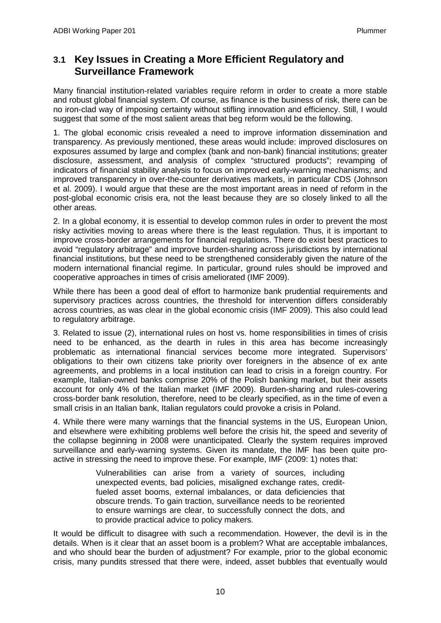#### <span id="page-13-0"></span>**3.1 Key Issues in Creating a More Efficient Regulatory and Surveillance Framework**

Many financial institution-related variables require reform in order to create a more stable and robust global financial system. Of course, as finance is the business of risk, there can be no iron-clad way of imposing certainty without stifling innovation and efficiency. Still, I would suggest that some of the most salient areas that beg reform would be the following.

1. The global economic crisis revealed a need to improve information dissemination and transparency. As previously mentioned, these areas would include: improved disclosures on exposures assumed by large and complex (bank and non-bank) financial institutions; greater disclosure, assessment, and analysis of complex "structured products"; revamping of indicators of financial stability analysis to focus on improved early-warning mechanisms; and improved transparency in over-the-counter derivatives markets, in particular CDS (Johnson et al. 2009). I would argue that these are the most important areas in need of reform in the post-global economic crisis era, not the least because they are so closely linked to all the other areas.

2. In a global economy, it is essential to develop common rules in order to prevent the most risky activities moving to areas where there is the least regulation. Thus, it is important to improve cross-border arrangements for financial regulations. There do exist best practices to avoid "regulatory arbitrage" and improve burden-sharing across jurisdictions by international financial institutions, but these need to be strengthened considerably given the nature of the modern international financial regime. In particular, ground rules should be improved and cooperative approaches in times of crisis ameliorated (IMF 2009).

While there has been a good deal of effort to harmonize bank prudential requirements and supervisory practices across countries, the threshold for intervention differs considerably across countries, as was clear in the global economic crisis (IMF 2009). This also could lead to regulatory arbitrage.

3. Related to issue (2), international rules on host vs. home responsibilities in times of crisis need to be enhanced, as the dearth in rules in this area has become increasingly problematic as international financial services become more integrated. Supervisors' obligations to their own citizens take priority over foreigners in the absence of ex ante agreements, and problems in a local institution can lead to crisis in a foreign country. For example, Italian-owned banks comprise 20% of the Polish banking market, but their assets account for only 4% of the Italian market (IMF 2009). Burden-sharing and rules-covering cross-border bank resolution, therefore, need to be clearly specified, as in the time of even a small crisis in an Italian bank, Italian regulators could provoke a crisis in Poland.

4. While there were many warnings that the financial systems in the US, European Union, and elsewhere were exhibiting problems well before the crisis hit, the speed and severity of the collapse beginning in 2008 were unanticipated. Clearly the system requires improved surveillance and early-warning systems. Given its mandate, the IMF has been quite proactive in stressing the need to improve these. For example, IMF (2009: 1) notes that:

> Vulnerabilities can arise from a variety of sources, including unexpected events, bad policies, misaligned exchange rates, creditfueled asset booms, external imbalances, or data deficiencies that obscure trends. To gain traction, surveillance needs to be reoriented to ensure warnings are clear, to successfully connect the dots, and to provide practical advice to policy makers.

It would be difficult to disagree with such a recommendation. However, the devil is in the details. When is it clear that an asset boom is a problem? What are acceptable imbalances, and who should bear the burden of adjustment? For example, prior to the global economic crisis, many pundits stressed that there were, indeed, asset bubbles that eventually would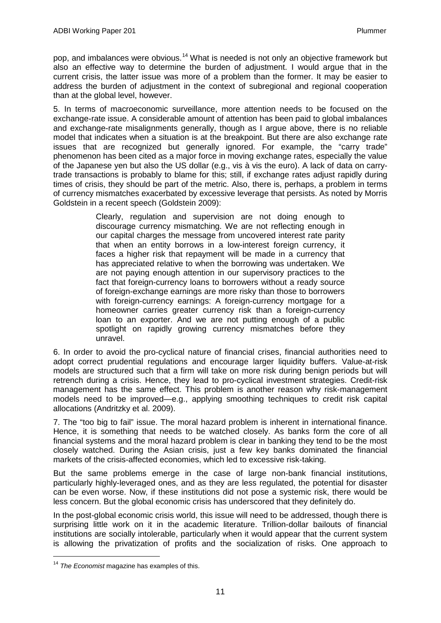pop, and imbalances were obvious.<sup>[14](#page-14-0)</sup> What is needed is not only an objective framework but also an effective way to determine the burden of adjustment. I would argue that in the current crisis, the latter issue was more of a problem than the former. It may be easier to address the burden of adjustment in the context of subregional and regional cooperation than at the global level, however.

5. In terms of macroeconomic surveillance, more attention needs to be focused on the exchange-rate issue. A considerable amount of attention has been paid to global imbalances and exchange-rate misalignments generally, though as I argue above, there is no reliable model that indicates when a situation is at the breakpoint. But there are also exchange rate issues that are recognized but generally ignored. For example, the "carry trade" phenomenon has been cited as a major force in moving exchange rates, especially the value of the Japanese yen but also the US dollar (e.g., vis à vis the euro). A lack of data on carrytrade transactions is probably to blame for this; still, if exchange rates adjust rapidly during times of crisis, they should be part of the metric. Also, there is, perhaps, a problem in terms of currency mismatches exacerbated by excessive leverage that persists. As noted by Morris Goldstein in a recent speech (Goldstein 2009):

> Clearly, regulation and supervision are not doing enough to discourage currency mismatching. We are not reflecting enough in our capital charges the message from uncovered interest rate parity that when an entity borrows in a low-interest foreign currency, it faces a higher risk that repayment will be made in a currency that has appreciated relative to when the borrowing was undertaken. We are not paying enough attention in our supervisory practices to the fact that foreign-currency loans to borrowers without a ready source of foreign-exchange earnings are more risky than those to borrowers with foreign-currency earnings: A foreign-currency mortgage for a homeowner carries greater currency risk than a foreign-currency loan to an exporter. And we are not putting enough of a public spotlight on rapidly growing currency mismatches before they unravel.

6. In order to avoid the pro-cyclical nature of financial crises, financial authorities need to adopt correct prudential regulations and encourage larger liquidity buffers. Value-at-risk models are structured such that a firm will take on more risk during benign periods but will retrench during a crisis. Hence, they lead to pro-cyclical investment strategies. Credit-risk management has the same effect. This problem is another reason why risk-management models need to be improved—e.g., applying smoothing techniques to credit risk capital allocations (Andritzky et al. 2009).

7. The "too big to fail" issue. The moral hazard problem is inherent in international finance. Hence, it is something that needs to be watched closely. As banks form the core of all financial systems and the moral hazard problem is clear in banking they tend to be the most closely watched. During the Asian crisis, just a few key banks dominated the financial markets of the crisis-affected economies, which led to excessive risk-taking.

But the same problems emerge in the case of large non-bank financial institutions, particularly highly-leveraged ones, and as they are less regulated, the potential for disaster can be even worse. Now, if these institutions did not pose a systemic risk, there would be less concern. But the global economic crisis has underscored that they definitely do.

In the post-global economic crisis world, this issue will need to be addressed, though there is surprising little work on it in the academic literature. Trillion-dollar bailouts of financial institutions are socially intolerable, particularly when it would appear that the current system is allowing the privatization of profits and the socialization of risks. One approach to

<span id="page-14-0"></span> <sup>14</sup> *The Economist* magazine has examples of this.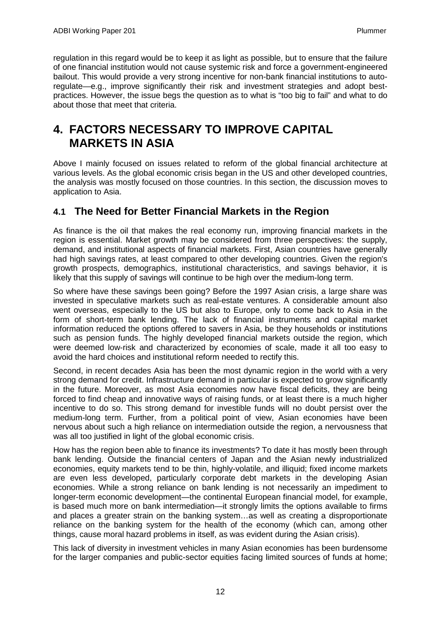regulation in this regard would be to keep it as light as possible, but to ensure that the failure of one financial institution would not cause systemic risk and force a government-engineered bailout. This would provide a very strong incentive for non-bank financial institutions to autoregulate—e.g., improve significantly their risk and investment strategies and adopt bestpractices. However, the issue begs the question as to what is "too big to fail" and what to do about those that meet that criteria.

# <span id="page-15-0"></span>**4. FACTORS NECESSARY TO IMPROVE CAPITAL MARKETS IN ASIA**

Above I mainly focused on issues related to reform of the global financial architecture at various levels. As the global economic crisis began in the US and other developed countries, the analysis was mostly focused on those countries. In this section, the discussion moves to application to Asia.

#### <span id="page-15-1"></span>**4.1 The Need for Better Financial Markets in the Region**

As finance is the oil that makes the real economy run, improving financial markets in the region is essential. Market growth may be considered from three perspectives: the supply, demand, and institutional aspects of financial markets. First, Asian countries have generally had high savings rates, at least compared to other developing countries. Given the region's growth prospects, demographics, institutional characteristics, and savings behavior, it is likely that this supply of savings will continue to be high over the medium-long term.

So where have these savings been going? Before the 1997 Asian crisis, a large share was invested in speculative markets such as real-estate ventures. A considerable amount also went overseas, especially to the US but also to Europe, only to come back to Asia in the form of short-term bank lending. The lack of financial instruments and capital market information reduced the options offered to savers in Asia, be they households or institutions such as pension funds. The highly developed financial markets outside the region, which were deemed low-risk and characterized by economies of scale, made it all too easy to avoid the hard choices and institutional reform needed to rectify this.

Second, in recent decades Asia has been the most dynamic region in the world with a very strong demand for credit. Infrastructure demand in particular is expected to grow significantly in the future. Moreover, as most Asia economies now have fiscal deficits, they are being forced to find cheap and innovative ways of raising funds, or at least there is a much higher incentive to do so. This strong demand for investible funds will no doubt persist over the medium-long term. Further, from a political point of view, Asian economies have been nervous about such a high reliance on intermediation outside the region, a nervousness that was all too justified in light of the global economic crisis.

How has the region been able to finance its investments? To date it has mostly been through bank lending. Outside the financial centers of Japan and the Asian newly industrialized economies, equity markets tend to be thin, highly-volatile, and illiquid; fixed income markets are even less developed, particularly corporate debt markets in the developing Asian economies. While a strong reliance on bank lending is not necessarily an impediment to longer-term economic development—the continental European financial model, for example, is based much more on bank intermediation—it strongly limits the options available to firms and places a greater strain on the banking system…as well as creating a disproportionate reliance on the banking system for the health of the economy (which can, among other things, cause moral hazard problems in itself, as was evident during the Asian crisis).

This lack of diversity in investment vehicles in many Asian economies has been burdensome for the larger companies and public-sector equities facing limited sources of funds at home;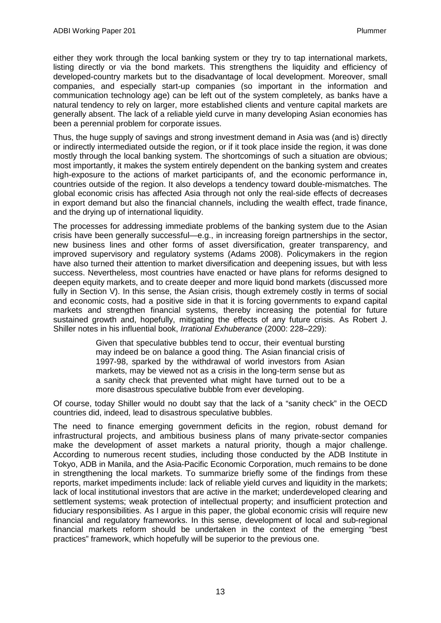either they work through the local banking system or they try to tap international markets, listing directly or via the bond markets. This strengthens the liquidity and efficiency of developed-country markets but to the disadvantage of local development. Moreover, small companies, and especially start-up companies (so important in the information and communication technology age) can be left out of the system completely, as banks have a natural tendency to rely on larger, more established clients and venture capital markets are generally absent. The lack of a reliable yield curve in many developing Asian economies has been a perennial problem for corporate issues.

Thus, the huge supply of savings and strong investment demand in Asia was (and is) directly or indirectly intermediated outside the region, or if it took place inside the region, it was done mostly through the local banking system. The shortcomings of such a situation are obvious; most importantly, it makes the system entirely dependent on the banking system and creates high-exposure to the actions of market participants of, and the economic performance in, countries outside of the region. It also develops a tendency toward double-mismatches. The global economic crisis has affected Asia through not only the real-side effects of decreases in export demand but also the financial channels, including the wealth effect, trade finance, and the drying up of international liquidity.

The processes for addressing immediate problems of the banking system due to the Asian crisis have been generally successful—e.g., in increasing foreign partnerships in the sector, new business lines and other forms of asset diversification, greater transparency, and improved supervisory and regulatory systems (Adams 2008). Policymakers in the region have also turned their attention to market diversification and deepening issues, but with less success. Nevertheless, most countries have enacted or have plans for reforms designed to deepen equity markets, and to create deeper and more liquid bond markets (discussed more fully in Section V). In this sense, the Asian crisis, though extremely costly in terms of social and economic costs, had a positive side in that it is forcing governments to expand capital markets and strengthen financial systems, thereby increasing the potential for future sustained growth and, hopefully, mitigating the effects of any future crisis. As Robert J. Shiller notes in his influential book, *Irrational Exhuberance* (2000: 228–229):

> Given that speculative bubbles tend to occur, their eventual bursting may indeed be on balance a good thing. The Asian financial crisis of 1997-98, sparked by the withdrawal of world investors from Asian markets, may be viewed not as a crisis in the long-term sense but as a sanity check that prevented what might have turned out to be a more disastrous speculative bubble from ever developing.

Of course, today Shiller would no doubt say that the lack of a "sanity check" in the OECD countries did, indeed, lead to disastrous speculative bubbles.

The need to finance emerging government deficits in the region, robust demand for infrastructural projects, and ambitious business plans of many private-sector companies make the development of asset markets a natural priority, though a major challenge. According to numerous recent studies, including those conducted by the ADB Institute in Tokyo, ADB in Manila, and the Asia-Pacific Economic Corporation, much remains to be done in strengthening the local markets. To summarize briefly some of the findings from these reports, market impediments include: lack of reliable yield curves and liquidity in the markets; lack of local institutional investors that are active in the market; underdeveloped clearing and settlement systems; weak protection of intellectual property; and insufficient protection and fiduciary responsibilities. As I argue in this paper, the global economic crisis will require new financial and regulatory frameworks. In this sense, development of local and sub-regional financial markets reform should be undertaken in the context of the emerging "best practices" framework, which hopefully will be superior to the previous one.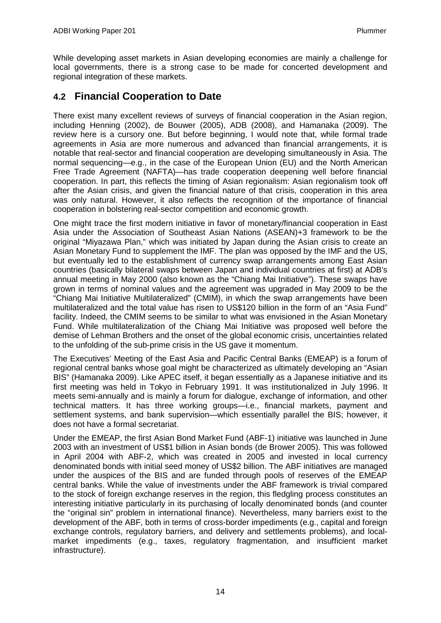While developing asset markets in Asian developing economies are mainly a challenge for local governments, there is a strong case to be made for concerted development and regional integration of these markets.

#### <span id="page-17-0"></span>**4.2 Financial Cooperation to Date**

There exist many excellent reviews of surveys of financial cooperation in the Asian region, including Henning (2002), de Bouwer (2005), ADB (2008), and Hamanaka (2009). The review here is a cursory one. But before beginning, I would note that, while formal trade agreements in Asia are more numerous and advanced than financial arrangements, it is notable that real-sector and financial cooperation are developing simultaneously in Asia. The normal sequencing—e.g., in the case of the European Union (EU) and the North American Free Trade Agreement (NAFTA)—has trade cooperation deepening well before financial cooperation. In part, this reflects the timing of Asian regionalism: Asian regionalism took off after the Asian crisis, and given the financial nature of that crisis, cooperation in this area was only natural. However, it also reflects the recognition of the importance of financial cooperation in bolstering real-sector competition and economic growth.

One might trace the first modern initiative in favor of monetary/financial cooperation in East Asia under the Association of Southeast Asian Nations (ASEAN)+3 framework to be the original "Miyazawa Plan," which was initiated by Japan during the Asian crisis to create an Asian Monetary Fund to supplement the IMF. The plan was opposed by the IMF and the US, but eventually led to the establishment of currency swap arrangements among East Asian countries (basically bilateral swaps between Japan and individual countries at first) at ADB's annual meeting in May 2000 (also known as the "Chiang Mai Initiative"). These swaps have grown in terms of nominal values and the agreement was upgraded in May 2009 to be the "Chiang Mai Initiative Multilateralized" (CMIM), in which the swap arrangements have been multilateralized and the total value has risen to US\$120 billion in the form of an "Asia Fund" facility. Indeed, the CMIM seems to be similar to what was envisioned in the Asian Monetary Fund. While multilateralization of the Chiang Mai Initiative was proposed well before the demise of Lehman Brothers and the onset of the global economic crisis, uncertainties related to the unfolding of the sub-prime crisis in the US gave it momentum.

The Executives' Meeting of the East Asia and Pacific Central Banks (EMEAP) is a forum of regional central banks whose goal might be characterized as ultimately developing an "Asian BIS" (Hamanaka 2009). Like APEC itself, it began essentially as a Japanese initiative and its first meeting was held in Tokyo in February 1991. It was institutionalized in July 1996. It meets semi-annually and is mainly a forum for dialogue, exchange of information, and other technical matters. It has three working groups—i.e., financial markets, payment and settlement systems, and bank supervision—which essentially parallel the BIS; however, it does not have a formal secretariat.

Under the EMEAP, the first Asian Bond Market Fund (ABF-1) initiative was launched in June 2003 with an investment of US\$1 billion in Asian bonds (de Brower 2005). This was followed in April 2004 with ABF-2, which was created in 2005 and invested in local currency denominated bonds with initial seed money of US\$2 billion. The ABF initiatives are managed under the auspices of the BIS and are funded through pools of reserves of the EMEAP central banks. While the value of investments under the ABF framework is trivial compared to the stock of foreign exchange reserves in the region, this fledgling process constitutes an interesting initiative particularly in its purchasing of locally denominated bonds (and counter the "original sin" problem in international finance). Nevertheless, many barriers exist to the development of the ABF, both in terms of cross-border impediments (e.g., capital and foreign exchange controls, regulatory barriers, and delivery and settlements problems), and localmarket impediments (e.g., taxes, regulatory fragmentation, and insufficient market infrastructure).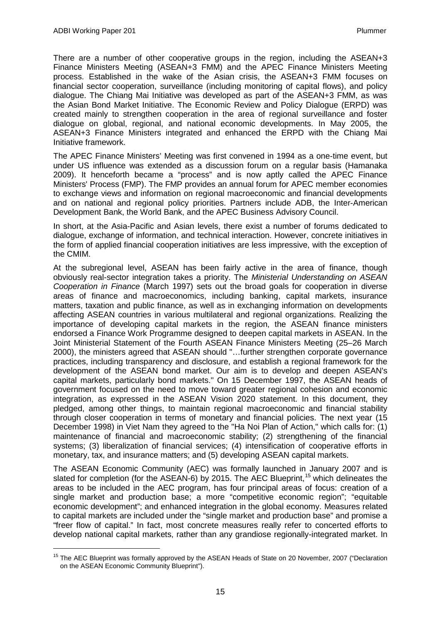There are a number of other cooperative groups in the region, including the ASEAN+3 Finance Ministers Meeting (ASEAN+3 FMM) and the APEC Finance Ministers Meeting process. Established in the wake of the Asian crisis, the ASEAN+3 FMM focuses on financial sector cooperation, surveillance (including monitoring of capital flows), and policy dialogue. The Chiang Mai Initiative was developed as part of the ASEAN+3 FMM, as was the Asian Bond Market Initiative. The Economic Review and Policy Dialogue (ERPD) was created mainly to strengthen cooperation in the area of regional surveillance and foster dialogue on global, regional, and national economic developments. In May 2005, the ASEAN+3 Finance Ministers integrated and enhanced the ERPD with the Chiang Mai Initiative framework.

The APEC Finance Ministers' Meeting was first convened in 1994 as a one-time event, but under US influence was extended as a discussion forum on a regular basis (Hamanaka 2009). It henceforth became a "process" and is now aptly called the APEC Finance Ministers' Process (FMP). The FMP provides an annual forum for APEC member economies to exchange views and information on regional macroeconomic and financial developments and on national and regional policy priorities. Partners include ADB, the Inter-American Development Bank, the World Bank, and the APEC Business Advisory Council.

In short, at the Asia-Pacific and Asian levels, there exist a number of forums dedicated to dialogue, exchange of information, and technical interaction. However, concrete initiatives in the form of applied financial cooperation initiatives are less impressive, with the exception of the CMIM.

At the subregional level, ASEAN has been fairly active in the area of finance, though obviously real-sector integration takes a priority. The *Ministerial Understanding on ASEAN Cooperation in Finance* (March 1997) sets out the broad goals for cooperation in diverse areas of finance and macroeconomics, including banking, capital markets, insurance matters, taxation and public finance, as well as in exchanging information on developments affecting ASEAN countries in various multilateral and regional organizations. Realizing the importance of developing capital markets in the region, the ASEAN finance ministers endorsed a Finance Work Programme designed to deepen capital markets in ASEAN. In the Joint Ministerial Statement of the Fourth ASEAN Finance Ministers Meeting (25–26 March 2000), the ministers agreed that ASEAN should "…further strengthen corporate governance practices, including transparency and disclosure, and establish a regional framework for the development of the ASEAN bond market. Our aim is to develop and deepen ASEAN's capital markets, particularly bond markets." On 15 December 1997, the ASEAN heads of government focused on the need to move toward greater regional cohesion and economic integration, as expressed in the ASEAN Vision 2020 statement. In this document, they pledged, among other things, to maintain regional macroeconomic and financial stability through closer cooperation in terms of monetary and financial policies. The next year (15 December 1998) in Viet Nam they agreed to the "Ha Noi Plan of Action," which calls for: (1) maintenance of financial and macroeconomic stability; (2) strengthening of the financial systems; (3) liberalization of financial services; (4) intensification of cooperative efforts in monetary, tax, and insurance matters; and (5) developing ASEAN capital markets.

The ASEAN Economic Community (AEC) was formally launched in January 2007 and is slated for completion (for the ASEAN-6) by 20[15](#page-18-0). The AEC Blueprint,<sup>15</sup> which delineates the areas to be included in the AEC program, has four principal areas of focus: creation of a single market and production base; a more "competitive economic region"; "equitable economic development"; and enhanced integration in the global economy. Measures related to capital markets are included under the "single market and production base" and promise a "freer flow of capital." In fact, most concrete measures really refer to concerted efforts to develop national capital markets, rather than any grandiose regionally-integrated market. In

<span id="page-18-0"></span><sup>&</sup>lt;sup>15</sup> The AEC Blueprint was formally approved by the ASEAN Heads of State on 20 November, 2007 ("Declaration on the ASEAN Economic Community Blueprint").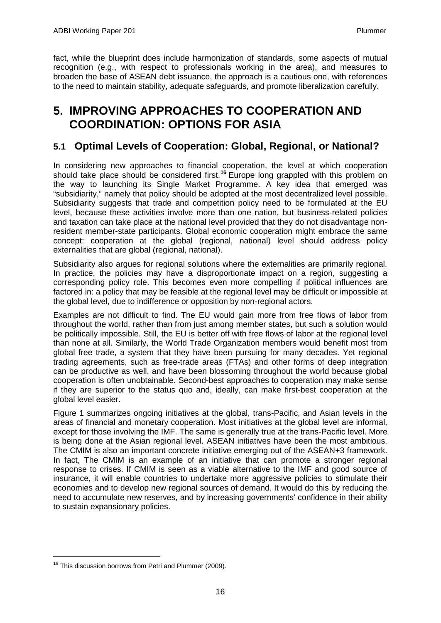fact, while the blueprint does include harmonization of standards, some aspects of mutual recognition (e.g., with respect to professionals working in the area), and measures to broaden the base of ASEAN debt issuance, the approach is a cautious one, with references to the need to maintain stability, adequate safeguards, and promote liberalization carefully.

## <span id="page-19-0"></span>**5. IMPROVING APPROACHES TO COOPERATION AND COORDINATION: OPTIONS FOR ASIA**

### <span id="page-19-1"></span>**5.1 Optimal Levels of Cooperation: Global, Regional, or National?**

In considering new approaches to financial cooperation, the level at which cooperation should take place should be considered first. **[16](#page-19-2)** Europe long grappled with this problem on the way to launching its Single Market Programme. A key idea that emerged was "subsidiarity," namely that policy should be adopted at the most decentralized level possible. Subsidiarity suggests that trade and competition policy need to be formulated at the EU level, because these activities involve more than one nation, but business-related policies and taxation can take place at the national level provided that they do not disadvantage nonresident member-state participants. Global economic cooperation might embrace the same concept: cooperation at the global (regional, national) level should address policy externalities that are global (regional, national).

Subsidiarity also argues for regional solutions where the externalities are primarily regional. In practice, the policies may have a disproportionate impact on a region, suggesting a corresponding policy role. This becomes even more compelling if political influences are factored in: a policy that may be feasible at the regional level may be difficult or impossible at the global level, due to indifference or opposition by non-regional actors.

Examples are not difficult to find. The EU would gain more from free flows of labor from throughout the world, rather than from just among member states, but such a solution would be politically impossible. Still, the EU is better off with free flows of labor at the regional level than none at all. Similarly, the World Trade Organization members would benefit most from global free trade, a system that they have been pursuing for many decades. Yet regional trading agreements, such as free-trade areas (FTAs) and other forms of deep integration can be productive as well, and have been blossoming throughout the world because global cooperation is often unobtainable. Second-best approaches to cooperation may make sense if they are superior to the status quo and, ideally, can make first-best cooperation at the global level easier.

Figure 1 summarizes ongoing initiatives at the global, trans-Pacific, and Asian levels in the areas of financial and monetary cooperation. Most initiatives at the global level are informal, except for those involving the IMF. The same is generally true at the trans-Pacific level. More is being done at the Asian regional level. ASEAN initiatives have been the most ambitious. The CMIM is also an important concrete initiative emerging out of the ASEAN+3 framework. In fact, The CMIM is an example of an initiative that can promote a stronger regional response to crises. If CMIM is seen as a viable alternative to the IMF and good source of insurance, it will enable countries to undertake more aggressive policies to stimulate their economies and to develop new regional sources of demand. It would do this by reducing the need to accumulate new reserves, and by increasing governments' confidence in their ability to sustain expansionary policies.

<span id="page-19-2"></span><sup>&</sup>lt;sup>16</sup> This discussion borrows from Petri and Plummer (2009).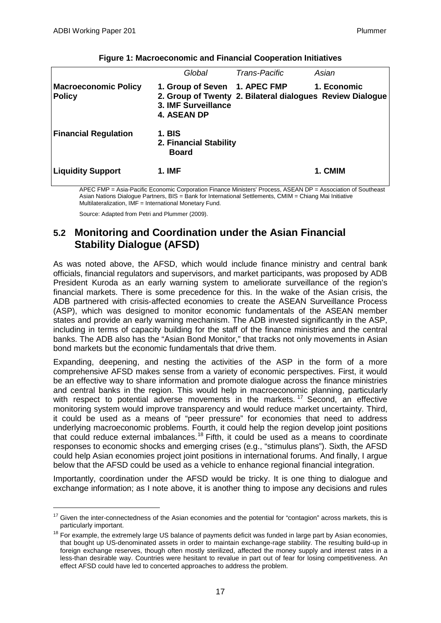|                                              | Global                                                                     | Trans-Pacific                                             | Asian       |
|----------------------------------------------|----------------------------------------------------------------------------|-----------------------------------------------------------|-------------|
| <b>Macroeconomic Policy</b><br><b>Policy</b> | 1. Group of Seven 1. APEC FMP<br>3. IMF Surveillance<br><b>4. ASEAN DP</b> | 2. Group of Twenty 2. Bilateral dialogues Review Dialogue | 1. Economic |
| <b>Financial Regulation</b>                  | 1. BIS<br>2. Financial Stability<br><b>Board</b>                           |                                                           |             |
| <b>Liquidity Support</b>                     | 1. IMF                                                                     |                                                           | 1. CMIM     |

| <b>Figure 1: Macroeconomic and Financial Cooperation Initiatives</b> |  |
|----------------------------------------------------------------------|--|
|----------------------------------------------------------------------|--|

APEC FMP = Asia-Pacific Economic Corporation Finance Ministers' Process, ASEAN DP = Association of Southeast Asian Nations Dialogue Partners, BIS = Bank for International Settlements, CMIM = Chiang Mai Initiative Multilateralization, IMF = International Monetary Fund.

Source: Adapted from Petri and Plummer (2009).

#### <span id="page-20-0"></span>**5.2 Monitoring and Coordination under the Asian Financial Stability Dialogue (AFSD)**

As was noted above, the AFSD, which would include finance ministry and central bank officials, financial regulators and supervisors, and market participants, was proposed by ADB President Kuroda as an early warning system to ameliorate surveillance of the region's financial markets. There is some precedence for this. In the wake of the Asian crisis, the ADB partnered with crisis-affected economies to create the ASEAN Surveillance Process (ASP), which was designed to monitor economic fundamentals of the ASEAN member states and provide an early warning mechanism. The ADB invested significantly in the ASP, including in terms of capacity building for the staff of the finance ministries and the central banks. The ADB also has the "Asian Bond Monitor," that tracks not only movements in Asian bond markets but the economic fundamentals that drive them.

Expanding, deepening, and nesting the activities of the ASP in the form of a more comprehensive AFSD makes sense from a variety of economic perspectives. First, it would be an effective way to share information and promote dialogue across the finance ministries and central banks in the region. This would help in macroeconomic planning, particularly with respect to potential adverse movements in the markets.<sup>[17](#page-20-1)</sup> Second, an effective monitoring system would improve transparency and would reduce market uncertainty. Third, it could be used as a means of "peer pressure" for economies that need to address underlying macroeconomic problems. Fourth, it could help the region develop joint positions that could reduce external imbalances.<sup>[18](#page-20-2)</sup> Fifth, it could be used as a means to coordinate responses to economic shocks and emerging crises (e.g., "stimulus plans"). Sixth, the AFSD could help Asian economies project joint positions in international forums. And finally, I argue below that the AFSD could be used as a vehicle to enhance regional financial integration.

Importantly, coordination under the AFSD would be tricky. It is one thing to dialogue and exchange information; as I note above, it is another thing to impose any decisions and rules

<span id="page-20-1"></span> $17$  Given the inter-connectedness of the Asian economies and the potential for "contagion" across markets, this is particularly important.

<span id="page-20-2"></span> $18$  For example, the extremely large US balance of payments deficit was funded in large part by Asian economies, that bought up US-denominated assets in order to maintain exchange-rage stability. The resulting build-up in foreign exchange reserves, though often mostly sterilized, affected the money supply and interest rates in a less-than desirable way. Countries were hesitant to revalue in part out of fear for losing competitiveness. An effect AFSD could have led to concerted approaches to address the problem.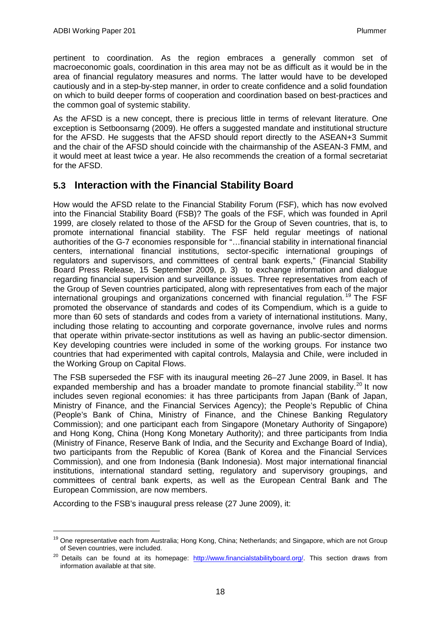pertinent to coordination. As the region embraces a generally common set of macroeconomic goals, coordination in this area may not be as difficult as it would be in the area of financial regulatory measures and norms. The latter would have to be developed cautiously and in a step-by-step manner, in order to create confidence and a solid foundation on which to build deeper forms of cooperation and coordination based on best-practices and the common goal of systemic stability.

As the AFSD is a new concept, there is precious little in terms of relevant literature. One exception is Setboonsarng (2009). He offers a suggested mandate and institutional structure for the AFSD. He suggests that the AFSD should report directly to the ASEAN+3 Summit and the chair of the AFSD should coincide with the chairmanship of the ASEAN-3 FMM, and it would meet at least twice a year. He also recommends the creation of a formal secretariat for the AFSD.

#### <span id="page-21-0"></span>**5.3 Interaction with the Financial Stability Board**

How would the AFSD relate to the Financial Stability Forum (FSF), which has now evolved into the Financial Stability Board (FSB)? The goals of the FSF, which was founded in April 1999, are closely related to those of the AFSD for the Group of Seven countries, that is, to promote international financial stability. The FSF held regular meetings of national authorities of the G-7 economies responsible for "…financial stability in international financial centers, international financial institutions, sector-specific international groupings of regulators and supervisors, and committees of central bank experts," (Financial Stability Board Press Release, 15 September 2009, p. 3) to exchange information and dialogue regarding financial supervision and surveillance issues. Three representatives from each of the Group of Seven countries participated, along with representatives from each of the major international groupings and organizations concerned with financial regulation.<sup>[19](#page-21-1)</sup> The FSF promoted the observance of standards and codes of its Compendium, which is a guide to more than 60 sets of standards and codes from a variety of international institutions. Many, including those relating to accounting and corporate governance, involve rules and norms that operate within private-sector institutions as well as having an public-sector dimension. Key developing countries were included in some of the working groups. For instance two countries that had experimented with capital controls, Malaysia and Chile, were included in the Working Group on Capital Flows.

The FSB superseded the FSF with its inaugural meeting 26–27 June 2009, in Basel. It has expanded membership and has a broader mandate to promote financial stability.<sup>[20](#page-21-2)</sup> It now includes seven regional economies: it has three participants from Japan (Bank of Japan, Ministry of Finance, and the Financial Services Agency); the People's Republic of China (People's Bank of China, Ministry of Finance, and the Chinese Banking Regulatory Commission); and one participant each from Singapore (Monetary Authority of Singapore) and Hong Kong, China (Hong Kong Monetary Authority); and three participants from India (Ministry of Finance, Reserve Bank of India, and the Security and Exchange Board of India), two participants from the Republic of Korea (Bank of Korea and the Financial Services Commission), and one from Indonesia (Bank Indonesia). Most major international financial institutions, international standard setting, regulatory and supervisory groupings, and committees of central bank experts, as well as the European Central Bank and The European Commission, are now members.

According to the FSB's inaugural press release (27 June 2009), it:

<span id="page-21-1"></span><sup>&</sup>lt;sup>19</sup> One representative each from Australia; Hong Kong, China; Netherlands; and Singapore, which are not Group of Seven countries, were included.

<span id="page-21-2"></span><sup>&</sup>lt;sup>20</sup> Details can be found at its homepage: [http://www.financialstabilityboard.org/.](http://www.financialstabilityboard.org/) This section draws from information available at that site.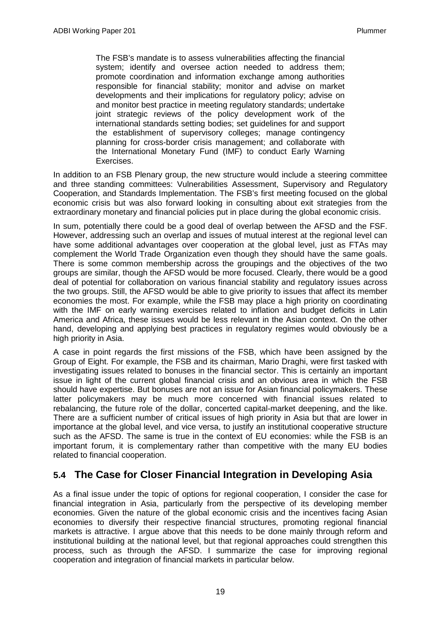The FSB's mandate is to assess vulnerabilities affecting the financial system; identify and oversee action needed to address them; promote coordination and information exchange among authorities responsible for financial stability; monitor and advise on market developments and their implications for regulatory policy; advise on and monitor best practice in meeting regulatory standards; undertake joint strategic reviews of the policy development work of the international standards setting bodies; set guidelines for and support the establishment of supervisory colleges; manage contingency planning for cross-border crisis management; and collaborate with the International Monetary Fund (IMF) to conduct Early Warning Exercises.

In addition to an FSB Plenary group, the new structure would include a steering committee and three standing committees: Vulnerabilities Assessment, Supervisory and Regulatory Cooperation, and Standards Implementation. The FSB's first meeting focused on the global economic crisis but was also forward looking in consulting about exit strategies from the extraordinary monetary and financial policies put in place during the global economic crisis.

In sum, potentially there could be a good deal of overlap between the AFSD and the FSF. However, addressing such an overlap and issues of mutual interest at the regional level can have some additional advantages over cooperation at the global level, just as FTAs may complement the World Trade Organization even though they should have the same goals. There is some common membership across the groupings and the objectives of the two groups are similar, though the AFSD would be more focused. Clearly, there would be a good deal of potential for collaboration on various financial stability and regulatory issues across the two groups. Still, the AFSD would be able to give priority to issues that affect its member economies the most. For example, while the FSB may place a high priority on coordinating with the IMF on early warning exercises related to inflation and budget deficits in Latin America and Africa, these issues would be less relevant in the Asian context. On the other hand, developing and applying best practices in regulatory regimes would obviously be a high priority in Asia.

A case in point regards the first missions of the FSB, which have been assigned by the Group of Eight. For example, the FSB and its chairman, Mario Draghi, were first tasked with investigating issues related to bonuses in the financial sector. This is certainly an important issue in light of the current global financial crisis and an obvious area in which the FSB should have expertise. But bonuses are not an issue for Asian financial policymakers. These latter policymakers may be much more concerned with financial issues related to rebalancing, the future role of the dollar, concerted capital-market deepening, and the like. There are a sufficient number of critical issues of high priority in Asia but that are lower in importance at the global level, and vice versa, to justify an institutional cooperative structure such as the AFSD. The same is true in the context of EU economies: while the FSB is an important forum, it is complementary rather than competitive with the many EU bodies related to financial cooperation.

#### <span id="page-22-0"></span>**5.4 The Case for Closer Financial Integration in Developing Asia**

As a final issue under the topic of options for regional cooperation, I consider the case for financial integration in Asia, particularly from the perspective of its developing member economies. Given the nature of the global economic crisis and the incentives facing Asian economies to diversify their respective financial structures, promoting regional financial markets is attractive. I argue above that this needs to be done mainly through reform and institutional building at the national level, but that regional approaches could strengthen this process, such as through the AFSD. I summarize the case for improving regional cooperation and integration of financial markets in particular below.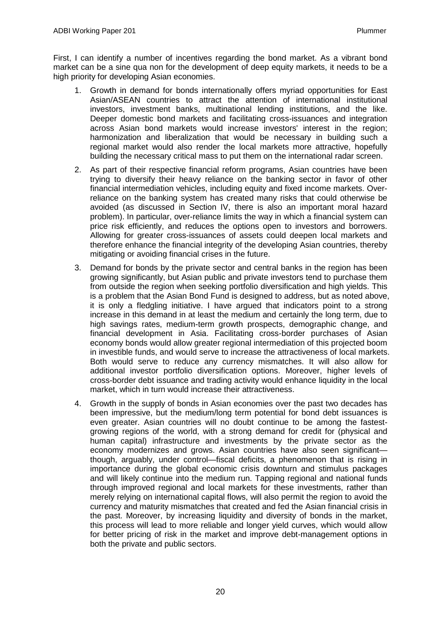First, I can identify a number of incentives regarding the bond market. As a vibrant bond market can be a sine qua non for the development of deep equity markets, it needs to be a high priority for developing Asian economies.

- 1. Growth in demand for bonds internationally offers myriad opportunities for East Asian/ASEAN countries to attract the attention of international institutional investors, investment banks, multinational lending institutions, and the like. Deeper domestic bond markets and facilitating cross-issuances and integration across Asian bond markets would increase investors' interest in the region; harmonization and liberalization that would be necessary in building such a regional market would also render the local markets more attractive, hopefully building the necessary critical mass to put them on the international radar screen.
- 2. As part of their respective financial reform programs, Asian countries have been trying to diversify their heavy reliance on the banking sector in favor of other financial intermediation vehicles, including equity and fixed income markets. Overreliance on the banking system has created many risks that could otherwise be avoided (as discussed in Section IV, there is also an important moral hazard problem). In particular, over-reliance limits the way in which a financial system can price risk efficiently, and reduces the options open to investors and borrowers. Allowing for greater cross-issuances of assets could deepen local markets and therefore enhance the financial integrity of the developing Asian countries, thereby mitigating or avoiding financial crises in the future.
- 3. Demand for bonds by the private sector and central banks in the region has been growing significantly, but Asian public and private investors tend to purchase them from outside the region when seeking portfolio diversification and high yields. This is a problem that the Asian Bond Fund is designed to address, but as noted above, it is only a fledgling initiative. I have argued that indicators point to a strong increase in this demand in at least the medium and certainly the long term, due to high savings rates, medium-term growth prospects, demographic change, and financial development in Asia. Facilitating cross-border purchases of Asian economy bonds would allow greater regional intermediation of this projected boom in investible funds, and would serve to increase the attractiveness of local markets. Both would serve to reduce any currency mismatches. It will also allow for additional investor portfolio diversification options. Moreover, higher levels of cross-border debt issuance and trading activity would enhance liquidity in the local market, which in turn would increase their attractiveness.
- 4. Growth in the supply of bonds in Asian economies over the past two decades has been impressive, but the medium/long term potential for bond debt issuances is even greater. Asian countries will no doubt continue to be among the fastestgrowing regions of the world, with a strong demand for credit for (physical and human capital) infrastructure and investments by the private sector as the economy modernizes and grows. Asian countries have also seen significant though, arguably, under control—fiscal deficits, a phenomenon that is rising in importance during the global economic crisis downturn and stimulus packages and will likely continue into the medium run. Tapping regional and national funds through improved regional and local markets for these investments, rather than merely relying on international capital flows, will also permit the region to avoid the currency and maturity mismatches that created and fed the Asian financial crisis in the past. Moreover, by increasing liquidity and diversity of bonds in the market, this process will lead to more reliable and longer yield curves, which would allow for better pricing of risk in the market and improve debt-management options in both the private and public sectors.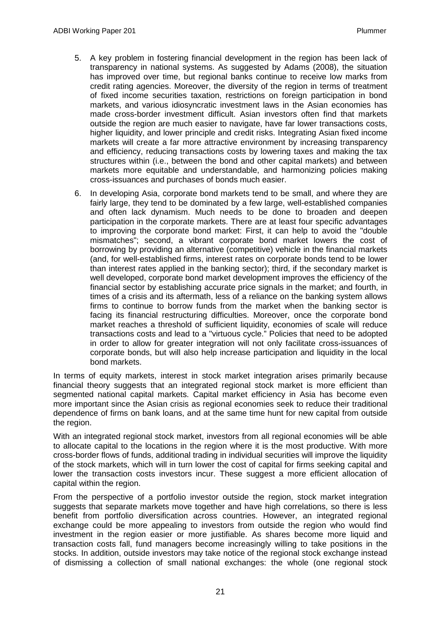- 5. A key problem in fostering financial development in the region has been lack of transparency in national systems. As suggested by Adams (2008), the situation has improved over time, but regional banks continue to receive low marks from credit rating agencies. Moreover, the diversity of the region in terms of treatment of fixed income securities taxation, restrictions on foreign participation in bond markets, and various idiosyncratic investment laws in the Asian economies has made cross-border investment difficult. Asian investors often find that markets outside the region are much easier to navigate, have far lower transactions costs, higher liquidity, and lower principle and credit risks. Integrating Asian fixed income markets will create a far more attractive environment by increasing transparency and efficiency, reducing transactions costs by lowering taxes and making the tax structures within (i.e., between the bond and other capital markets) and between markets more equitable and understandable, and harmonizing policies making cross-issuances and purchases of bonds much easier.
- 6. In developing Asia, corporate bond markets tend to be small, and where they are fairly large, they tend to be dominated by a few large, well-established companies and often lack dynamism. Much needs to be done to broaden and deepen participation in the corporate markets. There are at least four specific advantages to improving the corporate bond market: First, it can help to avoid the "double mismatches"; second, a vibrant corporate bond market lowers the cost of borrowing by providing an alternative (competitive) vehicle in the financial markets (and, for well-established firms, interest rates on corporate bonds tend to be lower than interest rates applied in the banking sector); third, if the secondary market is well developed, corporate bond market development improves the efficiency of the financial sector by establishing accurate price signals in the market; and fourth, in times of a crisis and its aftermath, less of a reliance on the banking system allows firms to continue to borrow funds from the market when the banking sector is facing its financial restructuring difficulties. Moreover, once the corporate bond market reaches a threshold of sufficient liquidity, economies of scale will reduce transactions costs and lead to a "virtuous cycle." Policies that need to be adopted in order to allow for greater integration will not only facilitate cross-issuances of corporate bonds, but will also help increase participation and liquidity in the local bond markets.

In terms of equity markets, interest in stock market integration arises primarily because financial theory suggests that an integrated regional stock market is more efficient than segmented national capital markets. Capital market efficiency in Asia has become even more important since the Asian crisis as regional economies seek to reduce their traditional dependence of firms on bank loans, and at the same time hunt for new capital from outside the region.

With an integrated regional stock market, investors from all regional economies will be able to allocate capital to the locations in the region where it is the most productive. With more cross-border flows of funds, additional trading in individual securities will improve the liquidity of the stock markets, which will in turn lower the cost of capital for firms seeking capital and lower the transaction costs investors incur. These suggest a more efficient allocation of capital within the region.

From the perspective of a portfolio investor outside the region, stock market integration suggests that separate markets move together and have high correlations, so there is less benefit from portfolio diversification across countries. However, an integrated regional exchange could be more appealing to investors from outside the region who would find investment in the region easier or more justifiable. As shares become more liquid and transaction costs fall, fund managers become increasingly willing to take positions in the stocks. In addition, outside investors may take notice of the regional stock exchange instead of dismissing a collection of small national exchanges: the whole (one regional stock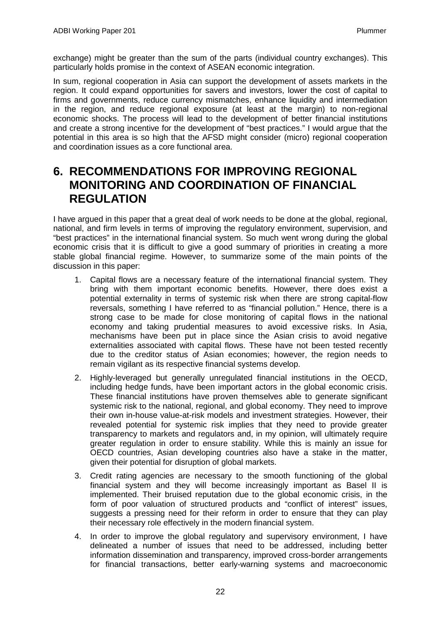exchange) might be greater than the sum of the parts (individual country exchanges). This particularly holds promise in the context of ASEAN economic integration.

In sum, regional cooperation in Asia can support the development of assets markets in the region. It could expand opportunities for savers and investors, lower the cost of capital to firms and governments, reduce currency mismatches, enhance liquidity and intermediation in the region, and reduce regional exposure (at least at the margin) to non-regional economic shocks. The process will lead to the development of better financial institutions and create a strong incentive for the development of "best practices." I would argue that the potential in this area is so high that the AFSD might consider (micro) regional cooperation and coordination issues as a core functional area.

### <span id="page-25-0"></span>**6. RECOMMENDATIONS FOR IMPROVING REGIONAL MONITORING AND COORDINATION OF FINANCIAL REGULATION**

I have argued in this paper that a great deal of work needs to be done at the global, regional, national, and firm levels in terms of improving the regulatory environment, supervision, and "best practices" in the international financial system. So much went wrong during the global economic crisis that it is difficult to give a good summary of priorities in creating a more stable global financial regime. However, to summarize some of the main points of the discussion in this paper:

- 1. Capital flows are a necessary feature of the international financial system. They bring with them important economic benefits. However, there does exist a potential externality in terms of systemic risk when there are strong capital-flow reversals, something I have referred to as "financial pollution." Hence, there is a strong case to be made for close monitoring of capital flows in the national economy and taking prudential measures to avoid excessive risks. In Asia, mechanisms have been put in place since the Asian crisis to avoid negative externalities associated with capital flows. These have not been tested recently due to the creditor status of Asian economies; however, the region needs to remain vigilant as its respective financial systems develop.
- 2. Highly-leveraged but generally unregulated financial institutions in the OECD, including hedge funds, have been important actors in the global economic crisis. These financial institutions have proven themselves able to generate significant systemic risk to the national, regional, and global economy. They need to improve their own in-house value-at-risk models and investment strategies. However, their revealed potential for systemic risk implies that they need to provide greater transparency to markets and regulators and, in my opinion, will ultimately require greater regulation in order to ensure stability. While this is mainly an issue for OECD countries, Asian developing countries also have a stake in the matter, given their potential for disruption of global markets.
- 3. Credit rating agencies are necessary to the smooth functioning of the global financial system and they will become increasingly important as Basel II is implemented. Their bruised reputation due to the global economic crisis, in the form of poor valuation of structured products and "conflict of interest" issues, suggests a pressing need for their reform in order to ensure that they can play their necessary role effectively in the modern financial system.
- 4. In order to improve the global regulatory and supervisory environment, I have delineated a number of issues that need to be addressed, including better information dissemination and transparency, improved cross-border arrangements for financial transactions, better early-warning systems and macroeconomic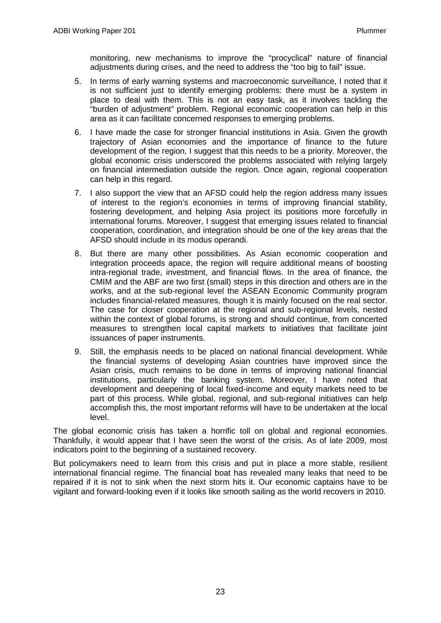monitoring, new mechanisms to improve the "procyclical" nature of financial adjustments during crises, and the need to address the "too big to fail" issue.

- 5. In terms of early warning systems and macroeconomic surveillance, I noted that it is not sufficient just to identify emerging problems: there must be a system in place to deal with them. This is not an easy task, as it involves tackling the "burden of adjustment" problem. Regional economic cooperation can help in this area as it can facilitate concerned responses to emerging problems.
- 6. I have made the case for stronger financial institutions in Asia. Given the growth trajectory of Asian economies and the importance of finance to the future development of the region, I suggest that this needs to be a priority. Moreover, the global economic crisis underscored the problems associated with relying largely on financial intermediation outside the region. Once again, regional cooperation can help in this regard.
- 7. I also support the view that an AFSD could help the region address many issues of interest to the region's economies in terms of improving financial stability, fostering development, and helping Asia project its positions more forcefully in international forums. Moreover, I suggest that emerging issues related to financial cooperation, coordination, and integration should be one of the key areas that the AFSD should include in its modus operandi.
- 8. But there are many other possibilities. As Asian economic cooperation and integration proceeds apace, the region will require additional means of boosting intra-regional trade, investment, and financial flows. In the area of finance, the CMIM and the ABF are two first (small) steps in this direction and others are in the works, and at the sub-regional level the ASEAN Economic Community program includes financial-related measures, though it is mainly focused on the real sector. The case for closer cooperation at the regional and sub-regional levels, nested within the context of global forums, is strong and should continue, from concerted measures to strengthen local capital markets to initiatives that facilitate joint issuances of paper instruments.
- 9. Still, the emphasis needs to be placed on national financial development. While the financial systems of developing Asian countries have improved since the Asian crisis, much remains to be done in terms of improving national financial institutions, particularly the banking system. Moreover, I have noted that development and deepening of local fixed-income and equity markets need to be part of this process. While global, regional, and sub-regional initiatives can help accomplish this, the most important reforms will have to be undertaken at the local level.

The global economic crisis has taken a horrific toll on global and regional economies. Thankfully, it would appear that I have seen the worst of the crisis. As of late 2009, most indicators point to the beginning of a sustained recovery.

But policymakers need to learn from this crisis and put in place a more stable, resilient international financial regime. The financial boat has revealed many leaks that need to be repaired if it is not to sink when the next storm hits it. Our economic captains have to be vigilant and forward-looking even if it looks like smooth sailing as the world recovers in 2010.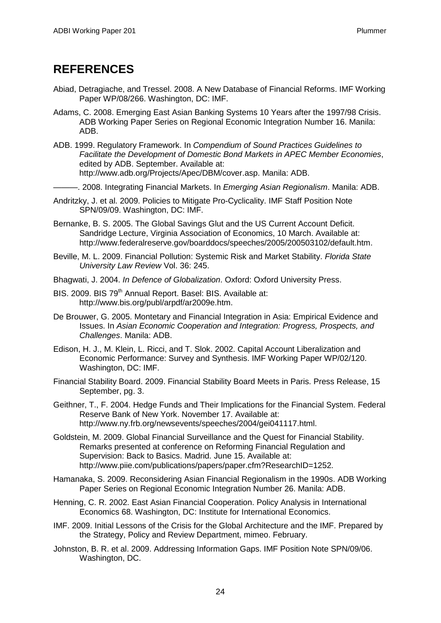### <span id="page-27-0"></span>**REFERENCES**

- Abiad, Detragiache, and Tressel. 2008. A New Database of Financial Reforms. IMF Working Paper WP/08/266. Washington, DC: IMF.
- Adams, C. 2008. Emerging East Asian Banking Systems 10 Years after the 1997/98 Crisis. ADB Working Paper Series on Regional Economic Integration Number 16. Manila: ADB.
- ADB. 1999. Regulatory Framework. In *Compendium of Sound Practices Guidelines to Facilitate the Development of Domestic Bond Markets in APEC Member Economies*, edited by ADB. September. Available at: [http://www.adb.org/Projects/Apec/DBM/cover.asp.](http://www.adb.org/Projects/Apec/DBM/cover.asp) Manila: ADB.
- ———. 2008. Integrating Financial Markets. In *Emerging Asian Regionalism*. Manila: ADB.
- Andritzky, J. et al. 2009. Policies to Mitigate Pro-Cyclicality. IMF Staff Position Note SPN/09/09. Washington, DC: IMF.
- Bernanke, B. S. 2005. The Global Savings Glut and the US Current Account Deficit. Sandridge Lecture, Virginia Association of Economics, 10 March. Available at: [http://www.federalreserve.gov/boarddocs/speeches/2005/200503102/default.htm.](http://www.federalreserve.gov/boarddocs/speeches/2005/200503102/default.htm)
- Beville, M. L. 2009. Financial Pollution: Systemic Risk and Market Stability. *Florida State University Law Review* Vol. 36: 245.
- Bhagwati, J. 2004. *In Defence of Globalization*. Oxford: Oxford University Press.
- BIS. 2009. BIS 79<sup>th</sup> Annual Report. Basel: BIS. Available at: http://www.bis.org/publ/arpdf/ar2009e.htm.
- De Brouwer, G. 2005. Montetary and Financial Integration in Asia: Empirical Evidence and Issues. In *Asian Economic Cooperation and Integration: Progress, Prospects, and Challenges*. Manila: ADB.
- Edison, H. J., M. Klein, L. Ricci, and T. Slok. 2002. Capital Account Liberalization and Economic Performance: Survey and Synthesis. IMF Working Paper WP/02/120. Washington, DC: IMF.
- Financial Stability Board. 2009. Financial Stability Board Meets in Paris. Press Release, 15 September, pg. 3.
- Geithner, T., F. 2004. Hedge Funds and Their Implications for the Financial System. Federal Reserve Bank of New York. November 17. Available at: http://www.ny.frb.org/newsevents/speeches/2004/gei041117.html.
- Goldstein, M. 2009. Global Financial Surveillance and the Quest for Financial Stability. Remarks presented at conference on Reforming Financial Regulation and Supervision: Back to Basics. Madrid. June 15. Available at: http://www.piie.com/publications/papers/paper.cfm?ResearchID=1252.
- Hamanaka, S. 2009. Reconsidering Asian Financial Regionalism in the 1990s. ADB Working Paper Series on Regional Economic Integration Number 26. Manila: ADB.
- Henning, C. R. 2002. East Asian Financial Cooperation. Policy Analysis in International Economics 68. Washington, DC: Institute for International Economics.
- IMF. 2009. Initial Lessons of the Crisis for the Global Architecture and the IMF. Prepared by the Strategy, Policy and Review Department, mimeo. February.
- Johnston, B. R. et al. 2009. Addressing Information Gaps. IMF Position Note SPN/09/06. Washington, DC.